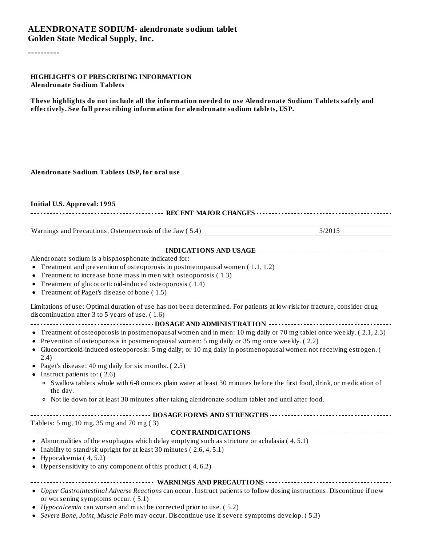#### **ALENDRONATE SODIUM- alendronate sodium tablet Golden State Medical Supply, Inc.**

----------

#### **HIGHLIGHTS OF PRESCRIBING INFORMATION Alendronate Sodium Tablets**

**These highlights do not include all the information needed to use Alendronate Sodium Tablets safely and effectively. See full prescribing information for alendronate sodium tablets, USP.**

#### **Alendronate Sodium Tablets USP, for oral use**

#### **Initial U.S. Approval: 1995**

**RECENT MAJOR CHANGES**

Warnings and Precautions, Osteonecrosis of the Jaw (5.4) 3/2015

**INDICATIONS AND USAGE** *CONSERVANCE CONSERVANCE <b>CONS* 

Alendronate sodium is a bisphosphonate indicated for:

- Treatment and prevention of osteoporosis in postmenopausal women ( 1.1, 1.2)
- Treatment to increase bone mass in men with osteoporosis ( 1.3)
- Treatment of glucocorticoid-induced osteoporosis ( 1.4)
- Treatment of Paget's disease of bone ( 1.5)

Limitations of use: Optimal duration of use has not been determined. For patients at low-risk for fracture, consider drug discontinuation after 3 to 5 years of use. ( 1.6)

# **DOSAGE AND ADMINISTRATION**

- Treatment of osteoporosis in postmenopausal women and in men: 10 mg daily or 70 mg tablet once weekly. ( 2.1, 2.3)
- Prevention of osteoporosis in postmenopausal women: 5 mg daily or 35 mg once weekly. ( 2.2)
- Glucocorticoid-induced osteoporosis: 5 mg daily; or 10 mg daily in postmenopausal women not receiving estrogen. ( 2.4)
- Paget's disease: 40 mg daily for six months. ( 2.5)
- Instruct patients to:  $(2.6)$ 
	- Swallow tablets whole with 6-8 ounces plain water at least 30 minutes before the first food, drink, or medication of the day.
	- Not lie down for at least 30 minutes after taking alendronate sodium tablet and until after food.

| Tablets: 5 mg, 10 mg, 35 mg and 70 mg (3) |
|-------------------------------------------|
|                                           |

- Abnormalities of the esophagus which delay emptying such as stricture or achalasia ( 4, 5.1)
- Inability to stand/sit upright for at least 30 minutes  $(2.6, 4, 5.1)$
- Hypocalcemia ( 4, 5.2)
- Hypersensitivity to any component of this product ( 4, 6.2)

**WARNINGS AND PRECAUTIONS**

- *Upper Gastrointestinal Adverse Reactions* can occur. Instruct patients to follow dosing instructions. Discontinue if new or worsening symptoms occur. ( 5.1)
- *Hypocalcemia* can worsen and must be corrected prior to use. ( 5.2)
- *Severe Bone, Joint, Muscle Pain* may occur. Discontinue use if severe symptoms develop. ( 5.3)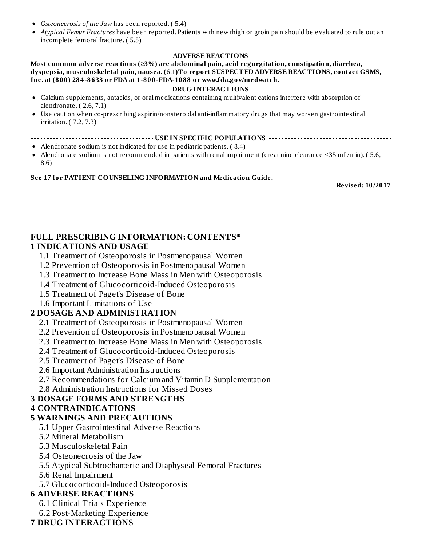- *Osteonecrosis of the Jaw* has been reported. ( 5.4)
- *Atypical Femur Fractures* have been reported. Patients with new thigh or groin pain should be evaluated to rule out an  $\bullet$ incomplete femoral fracture. ( 5.5)

#### **ADVERSE REACTIONS Most common adverse reactions (≥3%) are abdominal pain, acid regurgitation, constipation, diarrhea, dyspepsia, musculoskeletal pain, nausea. (**6.1**)To report SUSPECTED ADVERSE REACTIONS, contact GSMS, Inc. at (800) 284-8633 or FDA at 1-800-FDA-1088 or www.fda.gov/medwatch.**

#### **DRUG INTERACTIONS**

- Calcium supplements, antacids, or oral medications containing multivalent cations interfere with absorption of alendronate. ( 2.6, 7.1)
- Use caution when co-prescribing aspirin/nonsteroidal anti-inflammatory drugs that may worsen gastrointestinal  $\bullet$ irritation. ( 7.2, 7.3)

#### **USEE IN SPECIFIC POPULATIONS**

- Alendronate sodium is not indicated for use in pediatric patients. ( 8.4)
- Alendronate sodium is not recommended in patients with renal impairment (creatinine clearance <35 mL/min). ( 5.6, 8.6)

#### **See 17 for PATIENT COUNSELING INFORMATION and Medication Guide.**

**Revised: 10/2017**

#### **FULL PRESCRIBING INFORMATION: CONTENTS\***

#### **1 INDICATIONS AND USAGE**

- 1.1 Treatment of Osteoporosis in Postmenopausal Women
- 1.2 Prevention of Osteoporosis in Postmenopausal Women
- 1.3 Treatment to Increase Bone Mass in Men with Osteoporosis
- 1.4 Treatment of Glucocorticoid-Induced Osteoporosis
- 1.5 Treatment of Paget's Disease of Bone
- 1.6 Important Limitations of Use

#### **2 DOSAGE AND ADMINISTRATION**

- 2.1 Treatment of Osteoporosis in Postmenopausal Women
- 2.2 Prevention of Osteoporosis in Postmenopausal Women
- 2.3 Treatment to Increase Bone Mass in Men with Osteoporosis
- 2.4 Treatment of Glucocorticoid-Induced Osteoporosis
- 2.5 Treatment of Paget's Disease of Bone
- 2.6 Important Administration Instructions
- 2.7 Recommendations for Calcium and Vitamin D Supplementation
- 2.8 Administration Instructions for Missed Doses

#### **3 DOSAGE FORMS AND STRENGTHS**

#### **4 CONTRAINDICATIONS**

#### **5 WARNINGS AND PRECAUTIONS**

- 5.1 Upper Gastrointestinal Adverse Reactions
- 5.2 Mineral Metabolism
- 5.3 Musculoskeletal Pain
- 5.4 Osteonecrosis of the Jaw
- 5.5 Atypical Subtrochanteric and Diaphyseal Femoral Fractures
- 5.6 Renal Impairment
- 5.7 Glucocorticoid-Induced Osteoporosis

#### **6 ADVERSE REACTIONS**

- 6.1 Clinical Trials Experience
- 6.2 Post-Marketing Experience

#### **7 DRUG INTERACTIONS**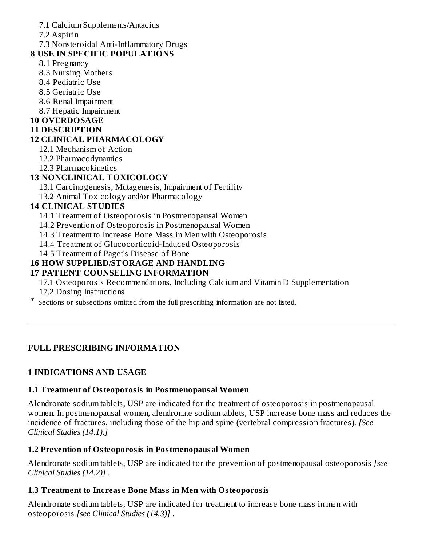### 7.1 Calcium Supplements/Antacids

7.2 Aspirin

7.3 Nonsteroidal Anti-Inflammatory Drugs

### **8 USE IN SPECIFIC POPULATIONS**

- 8.1 Pregnancy
- 8.3 Nursing Mothers
- 8.4 Pediatric Use
- 8.5 Geriatric Use
- 8.6 Renal Impairment
- 8.7 Hepatic Impairment

### **10 OVERDOSAGE**

### **11 DESCRIPTION**

### **12 CLINICAL PHARMACOLOGY**

- 12.1 Mechanism of Action
- 12.2 Pharmacodynamics
- 12.3 Pharmacokinetics

# **13 NONCLINICAL TOXICOLOGY**

- 13.1 Carcinogenesis, Mutagenesis, Impairment of Fertility
- 13.2 Animal Toxicology and/or Pharmacology

# **14 CLINICAL STUDIES**

- 14.1 Treatment of Osteoporosis in Postmenopausal Women
- 14.2 Prevention of Osteoporosis in Postmenopausal Women
- 14.3 Treatment to Increase Bone Mass in Men with Osteoporosis
- 14.4 Treatment of Glucocorticoid-Induced Osteoporosis
- 14.5 Treatment of Paget's Disease of Bone

# **16 HOW SUPPLIED/STORAGE AND HANDLING**

### **17 PATIENT COUNSELING INFORMATION**

- 17.1 Osteoporosis Recommendations, Including Calcium and Vitamin D Supplementation
- 17.2 Dosing Instructions
- \* Sections or subsections omitted from the full prescribing information are not listed.

# **FULL PRESCRIBING INFORMATION**

### **1 INDICATIONS AND USAGE**

### **1.1 Treatment of Osteoporosis in Postmenopausal Women**

Alendronate sodium tablets, USP are indicated for the treatment of osteoporosis in postmenopausal women. In postmenopausal women, alendronate sodium tablets, USP increase bone mass and reduces the incidence of fractures, including those of the hip and spine (vertebral compression fractures). *[See Clinical Studies (14.1).]*

### **1.2 Prevention of Osteoporosis in Postmenopausal Women**

Alendronate sodium tablets, USP are indicated for the prevention of postmenopausal osteoporosis *[see Clinical Studies (14.2)]* .

### **1.3 Treatment to Increas e Bone Mass in Men with Osteoporosis**

Alendronate sodium tablets, USP are indicated for treatment to increase bone mass in men with osteoporosis *[see Clinical Studies (14.3)]* .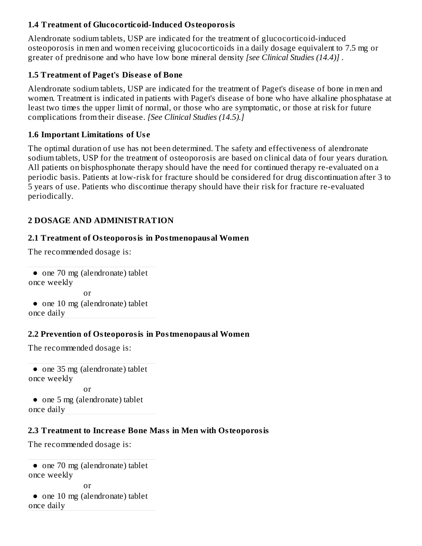### **1.4 Treatment of Glucocorticoid-Induced Osteoporosis**

Alendronate sodium tablets, USP are indicated for the treatment of glucocorticoid-induced osteoporosis in men and women receiving glucocorticoids in a daily dosage equivalent to 7.5 mg or greater of prednisone and who have low bone mineral density *[see Clinical Studies (14.4)]* .

### **1.5 Treatment of Paget's Dis eas e of Bone**

Alendronate sodium tablets, USP are indicated for the treatment of Paget's disease of bone in men and women. Treatment is indicated in patients with Paget's disease of bone who have alkaline phosphatase at least two times the upper limit of normal, or those who are symptomatic, or those at risk for future complications from their disease. *[See Clinical Studies (14.5).]*

### **1.6 Important Limitations of Us e**

The optimal duration of use has not been determined. The safety and effectiveness of alendronate sodium tablets, USP for the treatment of osteoporosis are based on clinical data of four years duration. All patients on bisphosphonate therapy should have the need for continued therapy re-evaluated on a periodic basis. Patients at low-risk for fracture should be considered for drug discontinuation after 3 to 5 years of use. Patients who discontinue therapy should have their risk for fracture re-evaluated periodically.

### **2 DOSAGE AND ADMINISTRATION**

### **2.1 Treatment of Osteoporosis in Postmenopausal Women**

The recommended dosage is:

● one 70 mg (alendronate) tablet once weekly or ● one 10 mg (alendronate) tablet once daily

### **2.2 Prevention of Osteoporosis in Postmenopausal Women**

The recommended dosage is:

● one 35 mg (alendronate) tablet once weekly or ● one 5 mg (alendronate) tablet once daily

### **2.3 Treatment to Increas e Bone Mass in Men with Osteoporosis**

The recommended dosage is:

```
● one 70 mg (alendronate) tablet
once weekly
              or
 ● one 10 mg (alendronate) tablet
once daily
```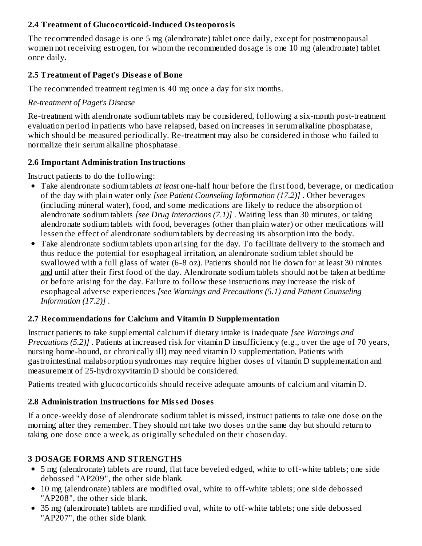### **2.4 Treatment of Glucocorticoid-Induced Osteoporosis**

The recommended dosage is one 5 mg (alendronate) tablet once daily, except for postmenopausal women not receiving estrogen, for whom the recommended dosage is one 10 mg (alendronate) tablet once daily.

### **2.5 Treatment of Paget's Dis eas e of Bone**

The recommended treatment regimen is 40 mg once a day for six months.

### *Re-treatment of Paget's Disease*

Re-treatment with alendronate sodium tablets may be considered, following a six-month post-treatment evaluation period in patients who have relapsed, based on increases in serum alkaline phosphatase, which should be measured periodically. Re-treatment may also be considered in those who failed to normalize their serum alkaline phosphatase.

### **2.6 Important Administration Instructions**

Instruct patients to do the following:

- Take alendronate sodium tablets *at least* one-half hour before the first food, beverage, or medication of the day with plain water only *[see Patient Counseling Information (17.2)]* . Other beverages (including mineral water), food, and some medications are likely to reduce the absorption of alendronate sodium tablets *[see Drug Interactions (7.1)]* . Waiting less than 30 minutes, or taking alendronate sodium tablets with food, beverages (other than plain water) or other medications will lessen the effect of alendronate sodium tablets by decreasing its absorption into the body.
- Take alendronate sodium tablets upon arising for the day. To facilitate delivery to the stomach and thus reduce the potential for esophageal irritation, an alendronate sodium tablet should be swallowed with a full glass of water (6-8 oz). Patients should not lie down for at least 30 minutes and until after their first food of the day. Alendronate sodium tablets should not be taken at bedtime or before arising for the day. Failure to follow these instructions may increase the risk of esophageal adverse experiences *[see Warnings and Precautions (5.1) and Patient Counseling Information (17.2)]* .

### **2.7 Recommendations for Calcium and Vitamin D Supplementation**

Instruct patients to take supplemental calcium if dietary intake is inadequate *[see Warnings and Precautions (5.2)]* . Patients at increased risk for vitamin D insufficiency (e.g., over the age of 70 years, nursing home-bound, or chronically ill) may need vitamin D supplementation. Patients with gastrointestinal malabsorption syndromes may require higher doses of vitamin D supplementation and measurement of 25-hydroxyvitamin D should be considered.

Patients treated with glucocorticoids should receive adequate amounts of calcium and vitamin D.

### **2.8 Administration Instructions for Miss ed Dos es**

If a once-weekly dose of alendronate sodium tablet is missed, instruct patients to take one dose on the morning after they remember. They should not take two doses on the same day but should return to taking one dose once a week, as originally scheduled on their chosen day.

### **3 DOSAGE FORMS AND STRENGTHS**

- 5 mg (alendronate) tablets are round, flat face beveled edged, white to off-white tablets; one side debossed "AP209", the other side blank.
- 10 mg (alendronate) tablets are modified oval, white to off-white tablets; one side debossed "AP208", the other side blank.
- 35 mg (alendronate) tablets are modified oval, white to off-white tablets; one side debossed "AP207", the other side blank.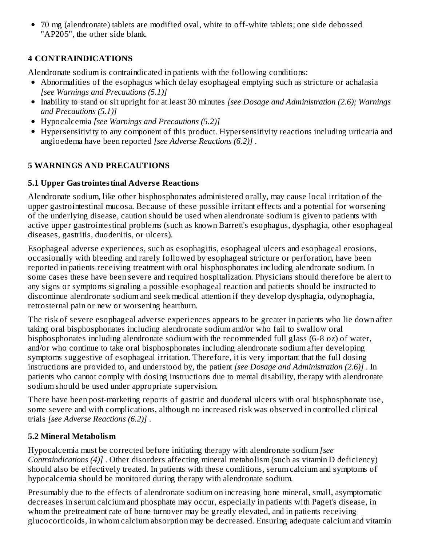70 mg (alendronate) tablets are modified oval, white to off-white tablets; one side debossed "AP205", the other side blank.

# **4 CONTRAINDICATIONS**

Alendronate sodium is contraindicated in patients with the following conditions:

- Abnormalities of the esophagus which delay esophageal emptying such as stricture or achalasia *[see Warnings and Precautions (5.1)]*
- Inability to stand or sit upright for at least 30 minutes *[see Dosage and Administration (2.6); Warnings and Precautions (5.1)]*
- Hypocalcemia *[see Warnings and Precautions (5.2)]*
- Hypersensitivity to any component of this product. Hypersensitivity reactions including urticaria and angioedema have been reported *[see Adverse Reactions (6.2)]* .

# **5 WARNINGS AND PRECAUTIONS**

# **5.1 Upper Gastrointestinal Advers e Reactions**

Alendronate sodium, like other bisphosphonates administered orally, may cause local irritation of the upper gastrointestinal mucosa. Because of these possible irritant effects and a potential for worsening of the underlying disease, caution should be used when alendronate sodium is given to patients with active upper gastrointestinal problems (such as known Barrett's esophagus, dysphagia, other esophageal diseases, gastritis, duodenitis, or ulcers).

Esophageal adverse experiences, such as esophagitis, esophageal ulcers and esophageal erosions, occasionally with bleeding and rarely followed by esophageal stricture or perforation, have been reported in patients receiving treatment with oral bisphosphonates including alendronate sodium. In some cases these have been severe and required hospitalization. Physicians should therefore be alert to any signs or symptoms signaling a possible esophageal reaction and patients should be instructed to discontinue alendronate sodium and seek medical attention if they develop dysphagia, odynophagia, retrosternal pain or new or worsening heartburn.

The risk of severe esophageal adverse experiences appears to be greater in patients who lie down after taking oral bisphosphonates including alendronate sodium and/or who fail to swallow oral bisphosphonates including alendronate sodium with the recommended full glass (6-8 oz) of water, and/or who continue to take oral bisphosphonates including alendronate sodium after developing symptoms suggestive of esophageal irritation. Therefore, it is very important that the full dosing instructions are provided to, and understood by, the patient *[see Dosage and Administration (2.6)]* . In patients who cannot comply with dosing instructions due to mental disability, therapy with alendronate sodium should be used under appropriate supervision.

There have been post-marketing reports of gastric and duodenal ulcers with oral bisphosphonate use, some severe and with complications, although no increased risk was observed in controlled clinical trials *[see Adverse Reactions (6.2)]* .

# **5.2 Mineral Metabolism**

Hypocalcemia must be corrected before initiating therapy with alendronate sodium *[see Contraindications (4)]* . Other disorders affecting mineral metabolism (such as vitamin D deficiency) should also be effectively treated. In patients with these conditions, serum calcium and symptoms of hypocalcemia should be monitored during therapy with alendronate sodium.

Presumably due to the effects of alendronate sodium on increasing bone mineral, small, asymptomatic decreases in serum calcium and phosphate may occur, especially in patients with Paget's disease, in whom the pretreatment rate of bone turnover may be greatly elevated, and in patients receiving glucocorticoids, in whom calcium absorption may be decreased. Ensuring adequate calcium and vitamin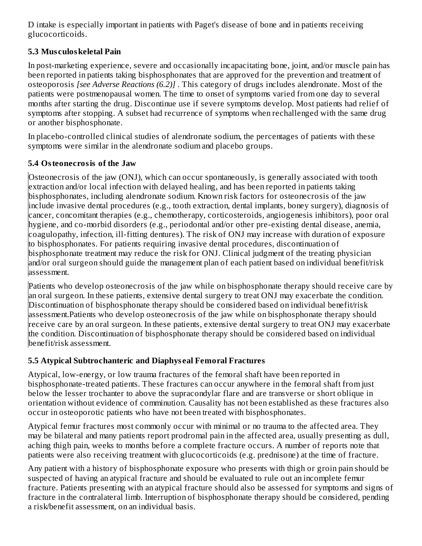D intake is especially important in patients with Paget's disease of bone and in patients receiving glucocorticoids.

# **5.3 Mus culoskeletal Pain**

In post-marketing experience, severe and occasionally incapacitating bone, joint, and/or muscle pain has been reported in patients taking bisphosphonates that are approved for the prevention and treatment of osteoporosis *[see Adverse Reactions (6.2)]* . This category of drugs includes alendronate. Most of the patients were postmenopausal women. The time to onset of symptoms varied from one day to several months after starting the drug. Discontinue use if severe symptoms develop. Most patients had relief of symptoms after stopping. A subset had recurrence of symptoms when rechallenged with the same drug or another bisphosphonate.

In placebo-controlled clinical studies of alendronate sodium, the percentages of patients with these symptoms were similar in the alendronate sodium and placebo groups.

### **5.4 Osteonecrosis of the Jaw**

Osteonecrosis of the jaw (ONJ), which can occur spontaneously, is generally associated with tooth extraction and/or local infection with delayed healing, and has been reported in patients taking bisphosphonates, including alendronate sodium. Known risk factors for osteonecrosis of the jaw include invasive dental procedures (e.g., tooth extraction, dental implants, boney surgery), diagnosis of cancer, concomitant therapies (e.g., chemotherapy, corticosteroids, angiogenesis inhibitors), poor oral hygiene, and co-morbid disorders (e.g., periodontal and/or other pre-existing dental disease, anemia, coagulopathy, infection, ill-fitting dentures). The risk of ONJ may increase with duration of exposure to bisphosphonates. For patients requiring invasive dental procedures, discontinuation of bisphosphonate treatment may reduce the risk for ONJ. Clinical judgment of the treating physician and/or oral surgeon should guide the management plan of each patient based on individual benefit/risk assessment.

Patients who develop osteonecrosis of the jaw while on bisphosphonate therapy should receive care by an oral surgeon. In these patients, extensive dental surgery to treat ONJ may exacerbate the condition. Discontinuation of bisphosphonate therapy should be considered based on individual benefit/risk assessment.Patients who develop osteonecrosis of the jaw while on bisphosphonate therapy should receive care by an oral surgeon. In these patients, extensive dental surgery to treat ONJ may exacerbate the condition. Discontinuation of bisphosphonate therapy should be considered based on individual benefit/risk assessment.

# **5.5 Atypical Subtrochanteric and Diaphys eal Femoral Fractures**

Atypical, low-energy, or low trauma fractures of the femoral shaft have been reported in bisphosphonate-treated patients. These fractures can occur anywhere in the femoral shaft from just below the lesser trochanter to above the supracondylar flare and are transverse or short oblique in orientation without evidence of comminution. Causality has not been established as these fractures also occur in osteoporotic patients who have not been treated with bisphosphonates.

Atypical femur fractures most commonly occur with minimal or no trauma to the affected area. They may be bilateral and many patients report prodromal pain in the affected area, usually presenting as dull, aching thigh pain, weeks to months before a complete fracture occurs. A number of reports note that patients were also receiving treatment with glucocorticoids (e.g. prednisone) at the time of fracture.

Any patient with a history of bisphosphonate exposure who presents with thigh or groin pain should be suspected of having an atypical fracture and should be evaluated to rule out an incomplete femur fracture. Patients presenting with an atypical fracture should also be assessed for symptoms and signs of fracture in the contralateral limb. Interruption of bisphosphonate therapy should be considered, pending a risk/benefit assessment, on an individual basis.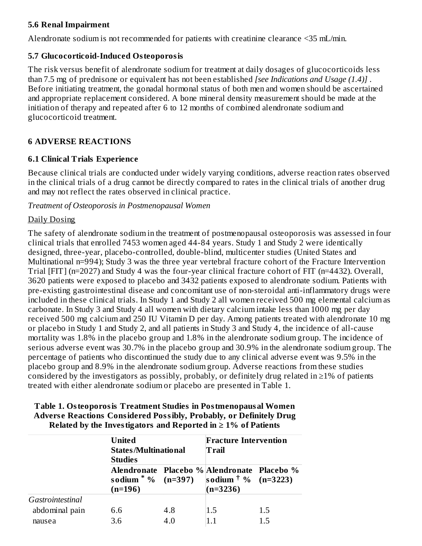### **5.6 Renal Impairment**

Alendronate sodium is not recommended for patients with creatinine clearance <35 mL/min.

### **5.7 Glucocorticoid-Induced Osteoporosis**

The risk versus benefit of alendronate sodium for treatment at daily dosages of glucocorticoids less than 7.5 mg of prednisone or equivalent has not been established *[see Indications and Usage (1.4)]* . Before initiating treatment, the gonadal hormonal status of both men and women should be ascertained and appropriate replacement considered. A bone mineral density measurement should be made at the initiation of therapy and repeated after 6 to 12 months of combined alendronate sodium and glucocorticoid treatment.

### **6 ADVERSE REACTIONS**

### **6.1 Clinical Trials Experience**

Because clinical trials are conducted under widely varying conditions, adverse reaction rates observed in the clinical trials of a drug cannot be directly compared to rates in the clinical trials of another drug and may not reflect the rates observed in clinical practice.

*Treatment of Osteoporosis in Postmenopausal Women*

### Daily Dosing

The safety of alendronate sodium in the treatment of postmenopausal osteoporosis was assessed in four clinical trials that enrolled 7453 women aged 44-84 years. Study 1 and Study 2 were identically designed, three-year, placebo-controlled, double-blind, multicenter studies (United States and Multinational n=994); Study 3 was the three year vertebral fracture cohort of the Fracture Intervention Trial [FIT] (n=2027) and Study 4 was the four-year clinical fracture cohort of FIT (n=4432). Overall, 3620 patients were exposed to placebo and 3432 patients exposed to alendronate sodium. Patients with pre-existing gastrointestinal disease and concomitant use of non-steroidal anti-inflammatory drugs were included in these clinical trials. In Study 1 and Study 2 all women received 500 mg elemental calcium as carbonate. In Study 3 and Study 4 all women with dietary calcium intake less than 1000 mg per day received 500 mg calcium and 250 IU Vitamin D per day. Among patients treated with alendronate 10 mg or placebo in Study 1 and Study 2, and all patients in Study 3 and Study 4, the incidence of all-cause mortality was 1.8% in the placebo group and 1.8% in the alendronate sodium group. The incidence of serious adverse event was 30.7% in the placebo group and 30.9% in the alendronate sodium group. The percentage of patients who discontinued the study due to any clinical adverse event was 9.5% in the placebo group and 8.9% in the alendronate sodium group. Adverse reactions from these studies considered by the investigators as possibly, probably, or definitely drug related in  $\geq 1\%$  of patients treated with either alendronate sodium or placebo are presented in Table 1.

| Table 1. Osteoporosis Treatment Studies in Postmenopausal Women            |
|----------------------------------------------------------------------------|
| <b>Adverse Reactions Considered Possibly, Probably, or Definitely Drug</b> |
| Related by the Investigators and Reported in $\geq 1\%$ of Patients        |

|                  | <b>United</b><br><b>Studies</b> | <b>States/Multinational</b><br>Trail |                                                                                              | <b>Fracture Intervention</b> |
|------------------|---------------------------------|--------------------------------------|----------------------------------------------------------------------------------------------|------------------------------|
|                  | sodium $*$ % (n=397)<br>(n=196) |                                      | Alendronate Placebo % Alendronate Placebo %<br>sodium $\frac{1}{2}$ % (n=3223)<br>$(n=3236)$ |                              |
| Gastrointestinal |                                 |                                      |                                                                                              |                              |
| abdominal pain   | 6.6                             | 4.8                                  | 1.5                                                                                          | 1.5                          |
| nausea           | 3.6                             | 4.0                                  | 1.1                                                                                          | 15                           |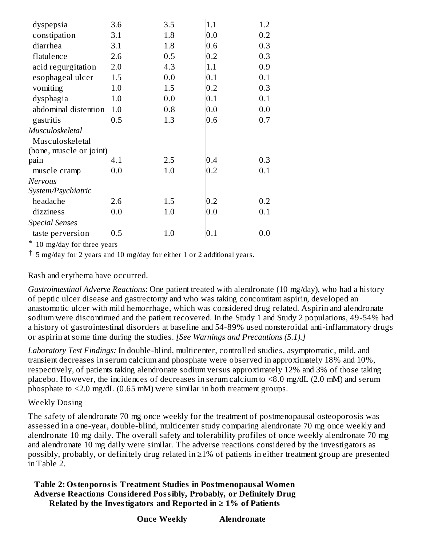| dyspepsia               | 3.6 | 3.5 | 1.1     | 1.2 |
|-------------------------|-----|-----|---------|-----|
| constipation            | 3.1 | 1.8 | 0.0     | 0.2 |
| diarrhea                | 3.1 | 1.8 | 0.6     | 0.3 |
| flatulence              | 2.6 | 0.5 | 0.2     | 0.3 |
| acid regurgitation      | 2.0 | 4.3 | 1.1     | 0.9 |
| esophageal ulcer        | 1.5 | 0.0 | 0.1     | 0.1 |
| vomiting                | 1.0 | 1.5 | 0.2     | 0.3 |
| dysphagia               | 1.0 | 0.0 | 0.1     | 0.1 |
| abdominal distention    | 1.0 | 0.8 | 0.0     | 0.0 |
| gastritis               | 0.5 | 1.3 | 0.6     | 0.7 |
| Musculoskeletal         |     |     |         |     |
| Musculoskeletal         |     |     |         |     |
| (bone, muscle or joint) |     |     |         |     |
| pain                    | 4.1 | 2.5 | 0.4     | 0.3 |
| muscle cramp            | 0.0 | 1.0 | 0.2     | 0.1 |
| Nervous                 |     |     |         |     |
| System/Psychiatric      |     |     |         |     |
| headache                | 2.6 | 1.5 | 0.2     | 0.2 |
| dizziness               | 0.0 | 1.0 | 0.0     | 0.1 |
| Special Senses          |     |     |         |     |
| taste perversion        | 0.5 | 1.0 | $0.1\,$ | 0.0 |
|                         |     |     |         |     |

\* 10 mg/day for three years

† 5 mg/day for 2 years and 10 mg/day for either 1 or 2 additional years.

### Rash and erythema have occurred.

*Gastrointestinal Adverse Reactions*: One patient treated with alendronate (10 mg/day), who had a history of peptic ulcer disease and gastrectomy and who was taking concomitant aspirin, developed an anastomotic ulcer with mild hemorrhage, which was considered drug related. Aspirin and alendronate sodium were discontinued and the patient recovered. In the Study 1 and Study 2 populations, 49-54% had a history of gastrointestinal disorders at baseline and 54-89% used nonsteroidal anti-inflammatory drugs or aspirin at some time during the studies. *[See Warnings and Precautions (5.1).]*

*Laboratory Test Findings:* In double-blind, multicenter, controlled studies, asymptomatic, mild, and transient decreases in serum calcium and phosphate were observed in approximately 18% and 10%, respectively, of patients taking alendronate sodium versus approximately 12% and 3% of those taking placebo. However, the incidences of decreases in serum calcium to <8.0 mg/dL (2.0 mM) and serum phosphate to  $\leq$ 2.0 mg/dL (0.65 mM) were similar in both treatment groups.

### Weekly Dosing

The safety of alendronate 70 mg once weekly for the treatment of postmenopausal osteoporosis was assessed in a one-year, double-blind, multicenter study comparing alendronate 70 mg once weekly and alendronate 10 mg daily. The overall safety and tolerability profiles of once weekly alendronate 70 mg and alendronate 10 mg daily were similar. The adverse reactions considered by the investigators as possibly, probably, or definitely drug related in ≥1% of patients in either treatment group are presented in Table 2.

**Table 2: Osteoporosis Treatment Studies in Postmenopausal Women Advers e Reactions Considered Possibly, Probably, or Definitely Drug Related** by the Investigators and Reported in  $\geq 1\%$  of Patients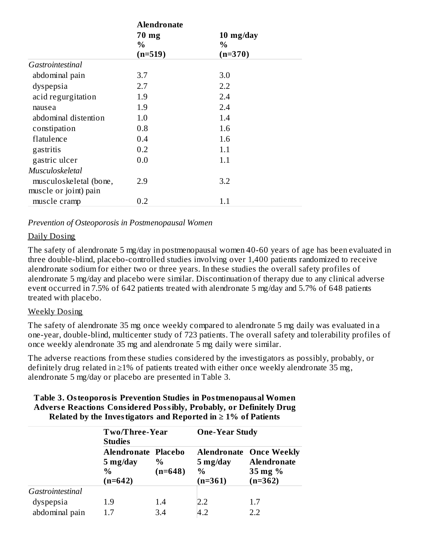|                        | <b>Alendronate</b> |                |  |
|------------------------|--------------------|----------------|--|
|                        | 70 mg              | $10 \; mg/day$ |  |
|                        | $\%$               | $\%$           |  |
|                        | $(n=519)$          | $(n=370)$      |  |
| Gastrointestinal       |                    |                |  |
| abdominal pain         | 3.7                | 3.0            |  |
| dyspepsia              | 2.7                | 2.2            |  |
| acid regurgitation     | 1.9                | 2.4            |  |
| nausea                 | 1.9                | 2.4            |  |
| abdominal distention   | 1.0                | 1.4            |  |
| constipation           | 0.8                | 1.6            |  |
| flatulence             | 0.4                | 1.6            |  |
| gastritis              | 0.2                | 1.1            |  |
| gastric ulcer          | 0.0                | 1.1            |  |
| Musculoskeletal        |                    |                |  |
| musculoskeletal (bone, | 2.9                | 3.2            |  |
| muscle or joint) pain  |                    |                |  |
| muscle cramp           | 0.2                | 1.1            |  |

*Prevention of Osteoporosis in Postmenopausal Women*

### Daily Dosing

The safety of alendronate 5 mg/day in postmenopausal women 40-60 years of age has been evaluated in three double-blind, placebo-controlled studies involving over 1,400 patients randomized to receive alendronate sodium for either two or three years. In these studies the overall safety profiles of alendronate 5 mg/day and placebo were similar. Discontinuation of therapy due to any clinical adverse event occurred in 7.5% of 642 patients treated with alendronate 5 mg/day and 5.7% of 648 patients treated with placebo.

### Weekly Dosing

The safety of alendronate 35 mg once weekly compared to alendronate 5 mg daily was evaluated in a one-year, double-blind, multicenter study of 723 patients. The overall safety and tolerability profiles of once weekly alendronate 35 mg and alendronate 5 mg daily were similar.

The adverse reactions from these studies considered by the investigators as possibly, probably, or definitely drug related in ≥1% of patients treated with either once weekly alendronate 35 mg, alendronate 5 mg/day or placebo are presented in Table 3.

| Table 3. Osteoporosis Prevention Studies in Postmenopausal Women           |
|----------------------------------------------------------------------------|
| <b>Adverse Reactions Considered Possibly, Probably, or Definitely Drug</b> |
| Related by the Investigators and Reported in $\geq 1\%$ of Patients        |

|                  | <b>Studies</b>                                                               | Two/Three-Year    |                                        | <b>One-Year Study</b>                                                                  |  |  |
|------------------|------------------------------------------------------------------------------|-------------------|----------------------------------------|----------------------------------------------------------------------------------------|--|--|
|                  | Alendronate Placebo<br>$5 \frac{\text{mg}}{\text{day}}$<br>$\%$<br>$(n=642)$ | $\%$<br>$(n=648)$ | 5 mg/day<br>$\frac{0}{0}$<br>$(n=361)$ | <b>Alendronate Once Weekly</b><br><b>Alendronate</b><br>$35 \text{ mg}$ %<br>$(n=362)$ |  |  |
| Gastrointestinal |                                                                              |                   |                                        |                                                                                        |  |  |
| dyspepsia        | 1.9                                                                          | 1.4               | 2.2                                    | 1.7                                                                                    |  |  |
| abdominal pain   | 17                                                                           | 3.4               | 4.2                                    | 2.2                                                                                    |  |  |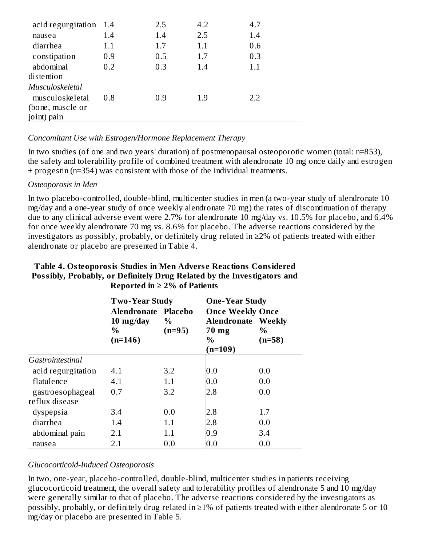| acid regurgitation 1.4 |     | 2.5 | 4.2 | 4.7 |
|------------------------|-----|-----|-----|-----|
| nausea                 | 1.4 | 1.4 | 2.5 | 1.4 |
| diarrhea               | 1.1 | 1.7 | 1.1 | 0.6 |
| constipation           | 0.9 | 0.5 | 1.7 | 0.3 |
| abdominal              | 0.2 | 0.3 | 1.4 | 1.1 |
| distention             |     |     |     |     |
| Musculoskeletal        |     |     |     |     |
| musculoskeletal        | 0.8 | 0.9 | 1.9 | 2.2 |
| (bone, muscle or       |     |     |     |     |
| joint) pain            |     |     |     |     |
|                        |     |     |     |     |

### *Concomitant Use with Estrogen/Hormone Replacement Therapy*

In two studies (of one and two years' duration) of postmenopausal osteoporotic women (total: n=853), the safety and tolerability profile of combined treatment with alendronate 10 mg once daily and estrogen ± progestin (n=354) was consistent with those of the individual treatments.

### *Osteoporosis in Men*

In two placebo-controlled, double-blind, multicenter studies in men (a two-year study of alendronate 10 mg/day and a one-year study of once weekly alendronate 70 mg) the rates of discontinuation of therapy due to any clinical adverse event were 2.7% for alendronate 10 mg/day vs. 10.5% for placebo, and 6.4% for once weekly alendronate 70 mg vs. 8.6% for placebo. The adverse reactions considered by the investigators as possibly, probably, or definitely drug related in ≥2% of patients treated with either alendronate or placebo are presented in Table 4.

|                                    | <b>Two-Year Study</b>                              |                             | <b>One-Year Study</b>                                                            |                  |
|------------------------------------|----------------------------------------------------|-----------------------------|----------------------------------------------------------------------------------|------------------|
|                                    | Alendronate<br>$10 \; mg/day$<br>$\%$<br>$(n=146)$ | Placebo<br>$\%$<br>$(n=95)$ | <b>Once Weekly Once</b><br><b>Alendronate Weekly</b><br>70 mg<br>$\%$<br>(n=109) | $\%$<br>$(n=58)$ |
| Gastrointestinal                   |                                                    |                             |                                                                                  |                  |
| acid regurgitation                 | 4.1                                                | 3.2                         | 0.0                                                                              | 0.0              |
| flatulence                         | 4.1                                                | 1.1                         | 0.0                                                                              | 0.0              |
| gastroesophageal<br>reflux disease | 0.7                                                | 3.2                         | 2.8                                                                              | 0.0              |
| dyspepsia                          | 3.4                                                | 0.0                         | 2.8                                                                              | 1.7              |
| diarrhea                           | 1.4                                                | 1.1                         | 2.8                                                                              | 0.0              |
| abdominal pain                     | 2.1                                                | 1.1                         | 0.9                                                                              | 3.4              |
| nausea                             | 2.1                                                | 0.0                         | 0.0                                                                              | 0.0              |

#### **Table 4. Osteoporosis Studies in Men Advers e Reactions Considered Possibly, Probably, or Definitely Drug Related by the Investigators and Reported in ≥ 2% of Patients**

### *Glucocorticoid-Induced Osteoporosis*

In two, one-year, placebo-controlled, double-blind, multicenter studies in patients receiving glucocorticoid treatment, the overall safety and tolerability profiles of alendronate 5 and 10 mg/day were generally similar to that of placebo. The adverse reactions considered by the investigators as possibly, probably, or definitely drug related in ≥1% of patients treated with either alendronate 5 or 10 mg/day or placebo are presented in Table 5.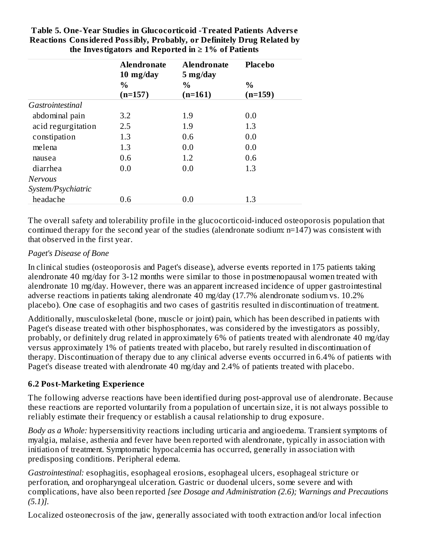|                    | <b>Alendronate</b><br>10 mg/day | <b>Alendronate</b><br>5 mg/day | <b>Placebo</b>    |
|--------------------|---------------------------------|--------------------------------|-------------------|
|                    | $\frac{0}{0}$<br>$(n=157)$      | $\frac{0}{0}$<br>$(n=161)$     | $\%$<br>$(n=159)$ |
| Gastrointestinal   |                                 |                                |                   |
| abdominal pain     | 3.2                             | 1.9                            | 0.0               |
| acid regurgitation | 2.5                             | 1.9                            | 1.3               |
| constipation       | 1.3                             | 0.6                            | 0.0               |
| melena             | 1.3                             | 0.0                            | 0.0               |
| nausea             | 0.6                             | 1.2                            | 0.6               |
| diarrhea           | 0.0                             | 0.0                            | 1.3               |
| <b>Nervous</b>     |                                 |                                |                   |
| System/Psychiatric |                                 |                                |                   |
| headache           | 0.6                             | 0.0                            | 1.3               |

**Table 5. One-Year Studies in Glucocorticoid -Treated Patients Advers e Reactions Considered Possibly, Probably, or Definitely Drug Related by the Investigators and Reported in ≥ 1% of Patients**

The overall safety and tolerability profile in the glucocorticoid-induced osteoporosis population that continued therapy for the second year of the studies (alendronate sodium: n=147) was consistent with that observed in the first year.

### *Paget's Disease of Bone*

In clinical studies (osteoporosis and Paget's disease), adverse events reported in 175 patients taking alendronate 40 mg/day for 3-12 months were similar to those in postmenopausal women treated with alendronate 10 mg/day. However, there was an apparent increased incidence of upper gastrointestinal adverse reactions in patients taking alendronate 40 mg/day (17.7% alendronate sodium vs. 10.2% placebo). One case of esophagitis and two cases of gastritis resulted in discontinuation of treatment.

Additionally, musculoskeletal (bone, muscle or joint) pain, which has been described in patients with Paget's disease treated with other bisphosphonates, was considered by the investigators as possibly, probably, or definitely drug related in approximately 6% of patients treated with alendronate 40 mg/day versus approximately 1% of patients treated with placebo, but rarely resulted in discontinuation of therapy. Discontinuation of therapy due to any clinical adverse events occurred in 6.4% of patients with Paget's disease treated with alendronate 40 mg/day and 2.4% of patients treated with placebo.

### **6.2 Post-Marketing Experience**

The following adverse reactions have been identified during post-approval use of alendronate. Because these reactions are reported voluntarily from a population of uncertain size, it is not always possible to reliably estimate their frequency or establish a causal relationship to drug exposure.

*Body as a Whole:* hypersensitivity reactions including urticaria and angioedema. Transient symptoms of myalgia, malaise, asthenia and fever have been reported with alendronate, typically in association with initiation of treatment. Symptomatic hypocalcemia has occurred, generally in association with predisposing conditions. Peripheral edema.

*Gastrointestinal:* esophagitis, esophageal erosions, esophageal ulcers, esophageal stricture or perforation, and oropharyngeal ulceration. Gastric or duodenal ulcers, some severe and with complications, have also been reported *[see Dosage and Administration (2.6); Warnings and Precautions (5.1)].*

Localized osteonecrosis of the jaw, generally associated with tooth extraction and/or local infection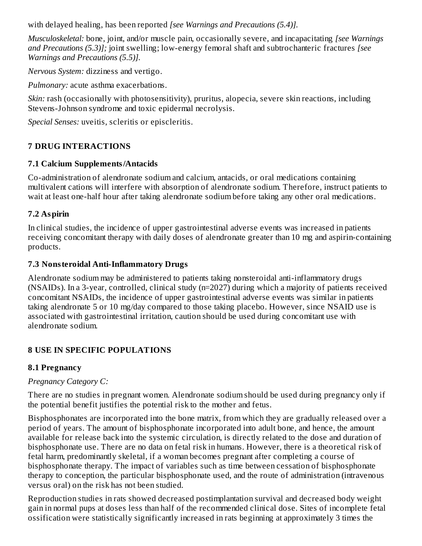with delayed healing, has been reported *[see Warnings and Precautions (5.4)].*

*Musculoskeletal:* bone, joint, and/or muscle pain, occasionally severe, and incapacitating *[see Warnings and Precautions (5.3)];* joint swelling; low-energy femoral shaft and subtrochanteric fractures *[see Warnings and Precautions (5.5)].*

*Nervous System:* dizziness and vertigo.

*Pulmonary:* acute asthma exacerbations.

*Skin:* rash (occasionally with photosensitivity), pruritus, alopecia, severe skin reactions, including Stevens-Johnson syndrome and toxic epidermal necrolysis.

*Special Senses:* uveitis, scleritis or episcleritis.

# **7 DRUG INTERACTIONS**

### **7.1 Calcium Supplements/Antacids**

Co-administration of alendronate sodium and calcium, antacids, or oral medications containing multivalent cations will interfere with absorption of alendronate sodium. Therefore, instruct patients to wait at least one-half hour after taking alendronate sodium before taking any other oral medications.

### **7.2 Aspirin**

In clinical studies, the incidence of upper gastrointestinal adverse events was increased in patients receiving concomitant therapy with daily doses of alendronate greater than 10 mg and aspirin-containing products.

### **7.3 Nonsteroidal Anti-Inflammatory Drugs**

Alendronate sodium may be administered to patients taking nonsteroidal anti-inflammatory drugs (NSAIDs). In a 3-year, controlled, clinical study (n=2027) during which a majority of patients received concomitant NSAIDs, the incidence of upper gastrointestinal adverse events was similar in patients taking alendronate 5 or 10 mg/day compared to those taking placebo. However, since NSAID use is associated with gastrointestinal irritation, caution should be used during concomitant use with alendronate sodium.

### **8 USE IN SPECIFIC POPULATIONS**

### **8.1 Pregnancy**

### *Pregnancy Category C:*

There are no studies in pregnant women. Alendronate sodium should be used during pregnancy only if the potential benefit justifies the potential risk to the mother and fetus.

Bisphosphonates are incorporated into the bone matrix, from which they are gradually released over a period of years. The amount of bisphosphonate incorporated into adult bone, and hence, the amount available for release back into the systemic circulation, is directly related to the dose and duration of bisphosphonate use. There are no data on fetal risk in humans. However, there is a theoretical risk of fetal harm, predominantly skeletal, if a woman becomes pregnant after completing a course of bisphosphonate therapy. The impact of variables such as time between cessation of bisphosphonate therapy to conception, the particular bisphosphonate used, and the route of administration (intravenous versus oral) on the risk has not been studied.

Reproduction studies in rats showed decreased postimplantation survival and decreased body weight gain in normal pups at doses less than half of the recommended clinical dose. Sites of incomplete fetal ossification were statistically significantly increased in rats beginning at approximately 3 times the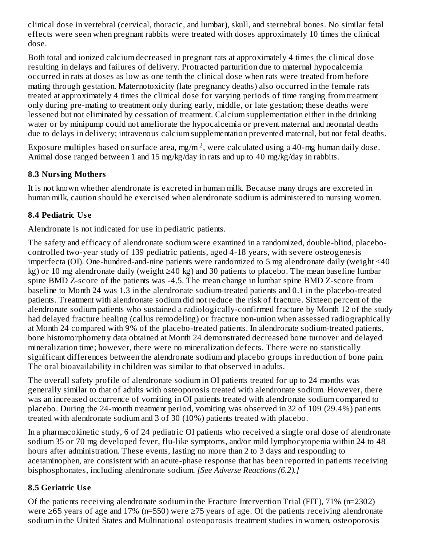clinical dose in vertebral (cervical, thoracic, and lumbar), skull, and sternebral bones. No similar fetal effects were seen when pregnant rabbits were treated with doses approximately 10 times the clinical dose.

Both total and ionized calcium decreased in pregnant rats at approximately 4 times the clinical dose resulting in delays and failures of delivery. Protracted parturition due to maternal hypocalcemia occurred in rats at doses as low as one tenth the clinical dose when rats were treated from before mating through gestation. Maternotoxicity (late pregnancy deaths) also occurred in the female rats treated at approximately 4 times the clinical dose for varying periods of time ranging from treatment only during pre-mating to treatment only during early, middle, or late gestation; these deaths were lessened but not eliminated by cessation of treatment. Calcium supplementation either in the drinking water or by minipump could not ameliorate the hypocalcemia or prevent maternal and neonatal deaths due to delays in delivery; intravenous calcium supplementation prevented maternal, but not fetal deaths.

Exposure multiples based on surface area, mg/m  $^2$ , were calculated using a 40-mg human daily dose. Animal dose ranged between 1 and 15 mg/kg/day in rats and up to 40 mg/kg/day in rabbits.

# **8.3 Nursing Mothers**

It is not known whether alendronate is excreted in human milk. Because many drugs are excreted in human milk, caution should be exercised when alendronate sodium is administered to nursing women.

# **8.4 Pediatric Us e**

Alendronate is not indicated for use in pediatric patients.

The safety and efficacy of alendronate sodium were examined in a randomized, double-blind, placebocontrolled two-year study of 139 pediatric patients, aged 4-18 years, with severe osteogenesis imperfecta (OI). One-hundred-and-nine patients were randomized to 5 mg alendronate daily (weight <40 kg) or 10 mg alendronate daily (weight ≥40 kg) and 30 patients to placebo. The mean baseline lumbar spine BMD Z-score of the patients was -4.5. The mean change in lumbar spine BMD Z-score from baseline to Month 24 was 1.3 in the alendronate sodium-treated patients and 0.1 in the placebo-treated patients. Treatment with alendronate sodium did not reduce the risk of fracture. Sixteen percent of the alendronate sodium patients who sustained a radiologically-confirmed fracture by Month 12 of the study had delayed fracture healing (callus remodeling) or fracture non-union when assessed radiographically at Month 24 compared with 9% of the placebo-treated patients. In alendronate sodium-treated patients, bone histomorphometry data obtained at Month 24 demonstrated decreased bone turnover and delayed mineralization time; however, there were no mineralization defects. There were no statistically significant differences between the alendronate sodium and placebo groups in reduction of bone pain. The oral bioavailability in children was similar to that observed in adults.

The overall safety profile of alendronate sodium in OI patients treated for up to 24 months was generally similar to that of adults with osteoporosis treated with alendronate sodium. However, there was an increased occurrence of vomiting in OI patients treated with alendronate sodium compared to placebo. During the 24-month treatment period, vomiting was observed in 32 of 109 (29.4%) patients treated with alendronate sodium and 3 of 30 (10%) patients treated with placebo.

In a pharmacokinetic study, 6 of 24 pediatric OI patients who received a single oral dose of alendronate sodium 35 or 70 mg developed fever, flu-like symptoms, and/or mild lymphocytopenia within 24 to 48 hours after administration. These events, lasting no more than 2 to 3 days and responding to acetaminophen, are consistent with an acute-phase response that has been reported in patients receiving bisphosphonates, including alendronate sodium. *[See Adverse Reactions (6.2).]*

# **8.5 Geriatric Us e**

Of the patients receiving alendronate sodium in the Fracture Intervention Trial (FIT), 71% (n=2302) were ≥65 years of age and 17% (n=550) were ≥75 years of age. Of the patients receiving alendronate sodium in the United States and Multinational osteoporosis treatment studies in women, osteoporosis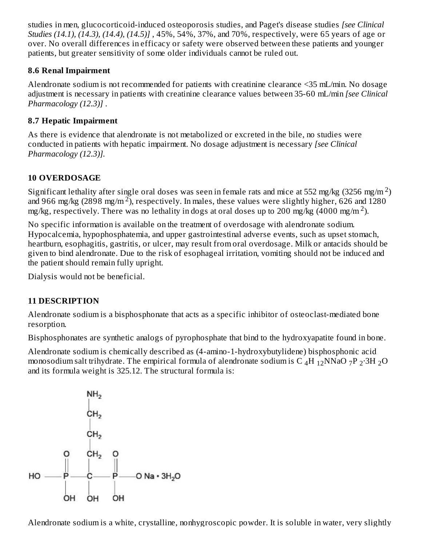studies in men, glucocorticoid-induced osteoporosis studies, and Paget's disease studies *[see Clinical Studies (14.1), (14.3), (14.4), (14.5)]* , 45%, 54%, 37%, and 70%, respectively, were 65 years of age or over. No overall differences in efficacy or safety were observed between these patients and younger patients, but greater sensitivity of some older individuals cannot be ruled out.

### **8.6 Renal Impairment**

Alendronate sodium is not recommended for patients with creatinine clearance <35 mL/min. No dosage adjustment is necessary in patients with creatinine clearance values between 35-60 mL/min *[see Clinical Pharmacology (12.3)]* .

### **8.7 Hepatic Impairment**

As there is evidence that alendronate is not metabolized or excreted in the bile, no studies were conducted in patients with hepatic impairment. No dosage adjustment is necessary *[see Clinical Pharmacology (12.3)].*

# **10 OVERDOSAGE**

Significant lethality after single oral doses was seen in female rats and mice at 552 mg/kg (3256 mg/m  $^2$ ) and 966 mg/kg (2898 mg/m<sup>2</sup>), respectively. In males, these values were slightly higher, 626 and 1280 mg/kg, respectively. There was no lethality in dogs at oral doses up to 200 mg/kg (4000 mg/m<sup>2</sup>).

No specific information is available on the treatment of overdosage with alendronate sodium. Hypocalcemia, hypophosphatemia, and upper gastrointestinal adverse events, such as upset stomach, heartburn, esophagitis, gastritis, or ulcer, may result from oral overdosage. Milk or antacids should be given to bind alendronate. Due to the risk of esophageal irritation, vomiting should not be induced and the patient should remain fully upright.

Dialysis would not be beneficial.

# **11 DESCRIPTION**

Alendronate sodium is a bisphosphonate that acts as a specific inhibitor of osteoclast-mediated bone resorption.

Bisphosphonates are synthetic analogs of pyrophosphate that bind to the hydroxyapatite found in bone.

Alendronate sodium is chemically described as (4-amino-1-hydroxybutylidene) bisphosphonic acid monosodium salt trihydrate. The empirical formula of alendronate sodium is C  $_4$ H  $_{12}$ NNaO 7P  $_2$ ·3H  $_2$ O and its formula weight is 325.12. The structural formula is:



Alendronate sodium is a white, crystalline, nonhygroscopic powder. It is soluble in water, very slightly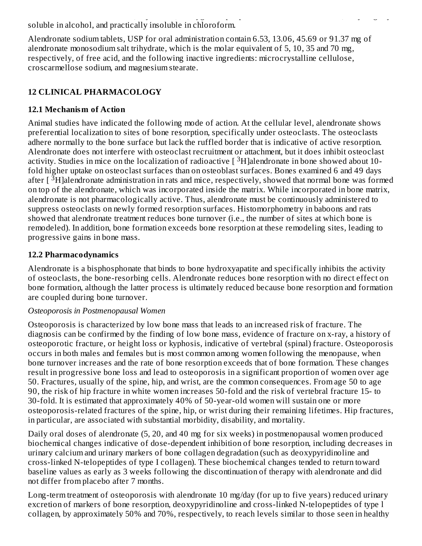Alendronate sodium is a white, crystalline, nonhygroscopic powder. It is soluble in water, very slightly soluble in alcohol, and practically insoluble in chloroform.

Alendronate sodium tablets, USP for oral administration contain 6.53, 13.06, 45.69 or 91.37 mg of alendronate monosodium salt trihydrate, which is the molar equivalent of 5, 10, 35 and 70 mg, respectively, of free acid, and the following inactive ingredients: microcrystalline cellulose, croscarmellose sodium, and magnesium stearate.

# **12 CLINICAL PHARMACOLOGY**

### **12.1 Mechanism of Action**

Animal studies have indicated the following mode of action. At the cellular level, alendronate shows preferential localization to sites of bone resorption, specifically under osteoclasts. The osteoclasts adhere normally to the bone surface but lack the ruffled border that is indicative of active resorption. Alendronate does not interfere with osteoclast recruitment or attachment, but it does inhibit osteoclast activity. Studies in mice on the localization of radioactive  $[~^3H]$ alendronate in bone showed about 10fold higher uptake on osteoclast surfaces than on osteoblast surfaces. Bones examined 6 and 49 days after  $\lceil \sqrt[3]{H} \rceil$ alendronate administration in rats and mice, respectively, showed that normal bone was formed on top of the alendronate, which was incorporated inside the matrix. While incorporated in bone matrix, alendronate is not pharmacologically active. Thus, alendronate must be continuously administered to suppress osteoclasts on newly formed resorption surfaces. Histomorphometry in baboons and rats showed that alendronate treatment reduces bone turnover (i.e., the number of sites at which bone is remodeled). In addition, bone formation exceeds bone resorption at these remodeling sites, leading to progressive gains in bone mass.

### **12.2 Pharmacodynamics**

Alendronate is a bisphosphonate that binds to bone hydroxyapatite and specifically inhibits the activity of osteoclasts, the bone-resorbing cells. Alendronate reduces bone resorption with no direct effect on bone formation, although the latter process is ultimately reduced because bone resorption and formation are coupled during bone turnover.

### *Osteoporosis in Postmenopausal Women*

Osteoporosis is characterized by low bone mass that leads to an increased risk of fracture. The diagnosis can be confirmed by the finding of low bone mass, evidence of fracture on x-ray, a history of osteoporotic fracture, or height loss or kyphosis, indicative of vertebral (spinal) fracture. Osteoporosis occurs in both males and females but is most common among women following the menopause, when bone turnover increases and the rate of bone resorption exceeds that of bone formation. These changes result in progressive bone loss and lead to osteoporosis in a significant proportion of women over age 50. Fractures, usually of the spine, hip, and wrist, are the common consequences. From age 50 to age 90, the risk of hip fracture in white women increases 50-fold and the risk of vertebral fracture 15- to 30-fold. It is estimated that approximately 40% of 50-year-old women will sustain one or more osteoporosis-related fractures of the spine, hip, or wrist during their remaining lifetimes. Hip fractures, in particular, are associated with substantial morbidity, disability, and mortality.

Daily oral doses of alendronate (5, 20, and 40 mg for six weeks) in postmenopausal women produced biochemical changes indicative of dose-dependent inhibition of bone resorption, including decreases in urinary calcium and urinary markers of bone collagen degradation (such as deoxypyridinoline and cross-linked N-telopeptides of type I collagen). These biochemical changes tended to return toward baseline values as early as 3 weeks following the discontinuation of therapy with alendronate and did not differ from placebo after 7 months.

Long-term treatment of osteoporosis with alendronate 10 mg/day (for up to five years) reduced urinary excretion of markers of bone resorption, deoxypyridinoline and cross-linked N-telopeptides of type l collagen, by approximately 50% and 70%, respectively, to reach levels similar to those seen in healthy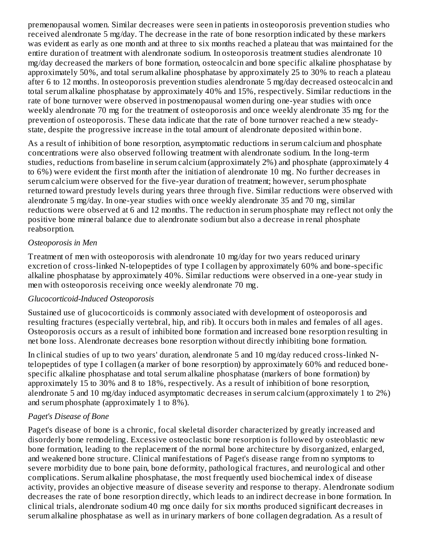premenopausal women. Similar decreases were seen in patients in osteoporosis prevention studies who received alendronate 5 mg/day. The decrease in the rate of bone resorption indicated by these markers was evident as early as one month and at three to six months reached a plateau that was maintained for the entire duration of treatment with alendronate sodium. In osteoporosis treatment studies alendronate 10 mg/day decreased the markers of bone formation, osteocalcin and bone specific alkaline phosphatase by approximately 50%, and total serum alkaline phosphatase by approximately 25 to 30% to reach a plateau after 6 to 12 months. In osteoporosis prevention studies alendronate 5 mg/day decreased osteocalcin and total serum alkaline phosphatase by approximately 40% and 15%, respectively. Similar reductions in the rate of bone turnover were observed in postmenopausal women during one-year studies with once weekly alendronate 70 mg for the treatment of osteoporosis and once weekly alendronate 35 mg for the prevention of osteoporosis. These data indicate that the rate of bone turnover reached a new steadystate, despite the progressive increase in the total amount of alendronate deposited within bone.

As a result of inhibition of bone resorption, asymptomatic reductions in serum calcium and phosphate concentrations were also observed following treatment with alendronate sodium. In the long-term studies, reductions from baseline in serum calcium (approximately 2%) and phosphate (approximately 4 to 6%) were evident the first month after the initiation of alendronate 10 mg. No further decreases in serum calcium were observed for the five-year duration of treatment; however, serum phosphate returned toward prestudy levels during years three through five. Similar reductions were observed with alendronate 5 mg/day. In one-year studies with once weekly alendronate 35 and 70 mg, similar reductions were observed at 6 and 12 months. The reduction in serum phosphate may reflect not only the positive bone mineral balance due to alendronate sodium but also a decrease in renal phosphate reabsorption.

#### *Osteoporosis in Men*

Treatment of men with osteoporosis with alendronate 10 mg/day for two years reduced urinary excretion of cross-linked N-telopeptides of type I collagen by approximately 60% and bone-specific alkaline phosphatase by approximately 40%. Similar reductions were observed in a one-year study in men with osteoporosis receiving once weekly alendronate 70 mg.

#### *Glucocorticoid-Induced Osteoporosis*

Sustained use of glucocorticoids is commonly associated with development of osteoporosis and resulting fractures (especially vertebral, hip, and rib). It occurs both in males and females of all ages. Osteoporosis occurs as a result of inhibited bone formation and increased bone resorption resulting in net bone loss. Alendronate decreases bone resorption without directly inhibiting bone formation.

In clinical studies of up to two years' duration, alendronate 5 and 10 mg/day reduced cross-linked Ntelopeptides of type I collagen (a marker of bone resorption) by approximately 60% and reduced bonespecific alkaline phosphatase and total serum alkaline phosphatase (markers of bone formation) by approximately 15 to 30% and 8 to 18%, respectively. As a result of inhibition of bone resorption, alendronate 5 and 10 mg/day induced asymptomatic decreases in serum calcium (approximately 1 to 2%) and serum phosphate (approximately 1 to 8%).

### *Paget's Disease of Bone*

Paget's disease of bone is a chronic, focal skeletal disorder characterized by greatly increased and disorderly bone remodeling. Excessive osteoclastic bone resorption is followed by osteoblastic new bone formation, leading to the replacement of the normal bone architecture by disorganized, enlarged, and weakened bone structure. Clinical manifestations of Paget's disease range from no symptoms to severe morbidity due to bone pain, bone deformity, pathological fractures, and neurological and other complications. Serum alkaline phosphatase, the most frequently used biochemical index of disease activity, provides an objective measure of disease severity and response to therapy. Alendronate sodium decreases the rate of bone resorption directly, which leads to an indirect decrease in bone formation. In clinical trials, alendronate sodium 40 mg once daily for six months produced significant decreases in serum alkaline phosphatase as well as in urinary markers of bone collagen degradation. As a result of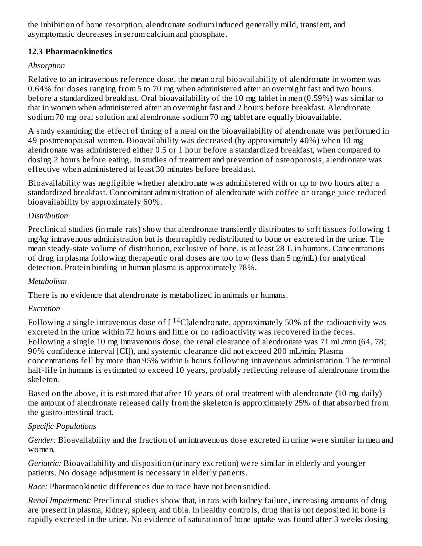the inhibition of bone resorption, alendronate sodium induced generally mild, transient, and asymptomatic decreases in serum calcium and phosphate.

### **12.3 Pharmacokinetics**

### *Absorption*

Relative to an intravenous reference dose, the mean oral bioavailability of alendronate in women was 0.64% for doses ranging from 5 to 70 mg when administered after an overnight fast and two hours before a standardized breakfast. Oral bioavailability of the 10 mg tablet in men (0.59%) was similar to that in women when administered after an overnight fast and 2 hours before breakfast. Alendronate sodium 70 mg oral solution and alendronate sodium 70 mg tablet are equally bioavailable.

A study examining the effect of timing of a meal on the bioavailability of alendronate was performed in 49 postmenopausal women. Bioavailability was decreased (by approximately 40%) when 10 mg alendronate was administered either 0.5 or 1 hour before a standardized breakfast, when compared to dosing 2 hours before eating. In studies of treatment and prevention of osteoporosis, alendronate was effective when administered at least 30 minutes before breakfast.

Bioavailability was negligible whether alendronate was administered with or up to two hours after a standardized breakfast. Concomitant administration of alendronate with coffee or orange juice reduced bioavailability by approximately 60%.

### *Distribution*

Preclinical studies (in male rats) show that alendronate transiently distributes to soft tissues following 1 mg/kg intravenous administration but is then rapidly redistributed to bone or excreted in the urine. The mean steady-state volume of distribution, exclusive of bone, is at least 28 L in humans. Concentrations of drug in plasma following therapeutic oral doses are too low (less than 5 ng/mL) for analytical detection. Protein binding in human plasma is approximately 78%.

### *Metabolism*

There is no evidence that alendronate is metabolized in animals or humans.

### *Excretion*

Following a single intravenous dose of [  $\rm ^{14}C$  ]alendronate, approximately 50% of the radioactivity was excreted in the urine within 72 hours and little or no radioactivity was recovered in the feces. Following a single 10 mg intravenous dose, the renal clearance of alendronate was 71 mL/min (64, 78; 90% confidence interval [CI]), and systemic clearance did not exceed 200 mL/min. Plasma concentrations fell by more than 95% within 6 hours following intravenous administration. The terminal half-life in humans is estimated to exceed 10 years, probably reflecting release of alendronate from the skeleton.

Based on the above, it is estimated that after 10 years of oral treatment with alendronate (10 mg daily) the amount of alendronate released daily from the skeleton is approximately 25% of that absorbed from the gastrointestinal tract.

### *Specific Populations*

*Gender:* Bioavailability and the fraction of an intravenous dose excreted in urine were similar in men and women.

*Geriatric:* Bioavailability and disposition (urinary excretion) were similar in elderly and younger patients. No dosage adjustment is necessary in elderly patients.

*Race:* Pharmacokinetic differences due to race have not been studied.

*Renal Impairment:* Preclinical studies show that, in rats with kidney failure, increasing amounts of drug are present in plasma, kidney, spleen, and tibia. In healthy controls, drug that is not deposited in bone is rapidly excreted in the urine. No evidence of saturation of bone uptake was found after 3 weeks dosing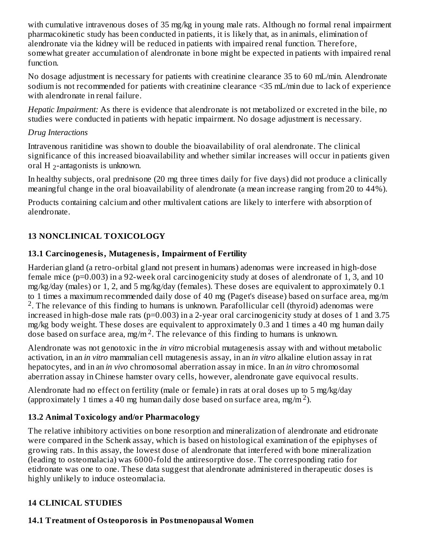with cumulative intravenous doses of 35 mg/kg in young male rats. Although no formal renal impairment pharmacokinetic study has been conducted in patients, it is likely that, as in animals, elimination of alendronate via the kidney will be reduced in patients with impaired renal function. Therefore, somewhat greater accumulation of alendronate in bone might be expected in patients with impaired renal function.

No dosage adjustment is necessary for patients with creatinine clearance 35 to 60 mL/min. Alendronate sodium is not recommended for patients with creatinine clearance <35 mL/min due to lack of experience with alendronate in renal failure.

*Hepatic Impairment:* As there is evidence that alendronate is not metabolized or excreted in the bile, no studies were conducted in patients with hepatic impairment. No dosage adjustment is necessary.

### *Drug Interactions*

Intravenous ranitidine was shown to double the bioavailability of oral alendronate. The clinical significance of this increased bioavailability and whether similar increases will occur in patients given oral H 2-antagonists is unknown.

In healthy subjects, oral prednisone (20 mg three times daily for five days) did not produce a clinically meaningful change in the oral bioavailability of alendronate (a mean increase ranging from 20 to 44%).

Products containing calcium and other multivalent cations are likely to interfere with absorption of alendronate.

# **13 NONCLINICAL TOXICOLOGY**

# **13.1 Carcinogenesis, Mutagenesis, Impairment of Fertility**

Harderian gland (a retro-orbital gland not present in humans) adenomas were increased in high-dose female mice (p=0.003) in a 92-week oral carcinogenicity study at doses of alendronate of 1, 3, and 10 mg/kg/day (males) or 1, 2, and 5 mg/kg/day (females). These doses are equivalent to approximately 0.1 to 1 times a maximum recommended daily dose of 40 mg (Paget's disease) based on surface area, mg/m <sup>2</sup>. The relevance of this finding to humans is unknown. Parafollicular cell (thyroid) adenomas were increased in high-dose male rats (p=0.003) in a 2-year oral carcinogenicity study at doses of 1 and 3.75 mg/kg body weight. These doses are equivalent to approximately 0.3 and 1 times a 40 mg human daily dose based on surface area, mg/m<sup>2</sup>. The relevance of this finding to humans is unknown.

Alendronate was not genotoxic in the *in vitro* microbial mutagenesis assay with and without metabolic activation, in an *in vitro* mammalian cell mutagenesis assay, in an *in vitro* alkaline elution assay in rat hepatocytes, and in an *in vivo* chromosomal aberration assay in mice. In an *in vitro* chromosomal aberration assay in Chinese hamster ovary cells, however, alendronate gave equivocal results.

Alendronate had no effect on fertility (male or female) in rats at oral doses up to 5 mg/kg/day (approximately 1 times a 40 mg human daily dose based on surface area, mg/m<sup>2</sup>).

# **13.2 Animal Toxicology and/or Pharmacology**

The relative inhibitory activities on bone resorption and mineralization of alendronate and etidronate were compared in the Schenk assay, which is based on histological examination of the epiphyses of growing rats. In this assay, the lowest dose of alendronate that interfered with bone mineralization (leading to osteomalacia) was 6000-fold the antiresorptive dose. The corresponding ratio for etidronate was one to one. These data suggest that alendronate administered in therapeutic doses is highly unlikely to induce osteomalacia.

# **14 CLINICAL STUDIES**

### **14.1 Treatment of Osteoporosis in Postmenopausal Women**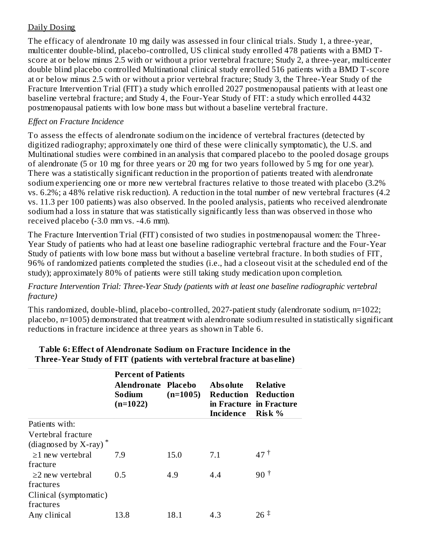### Daily Dosing

The efficacy of alendronate 10 mg daily was assessed in four clinical trials. Study 1, a three-year, multicenter double-blind, placebo-controlled, US clinical study enrolled 478 patients with a BMD Tscore at or below minus 2.5 with or without a prior vertebral fracture; Study 2, a three-year, multicenter double blind placebo controlled Multinational clinical study enrolled 516 patients with a BMD T-score at or below minus 2.5 with or without a prior vertebral fracture; Study 3, the Three-Year Study of the Fracture Intervention Trial (FIT) a study which enrolled 2027 postmenopausal patients with at least one baseline vertebral fracture; and Study 4, the Four-Year Study of FIT: a study which enrolled 4432 postmenopausal patients with low bone mass but without a baseline vertebral fracture.

### *Effect on Fracture Incidence*

To assess the effects of alendronate sodium on the incidence of vertebral fractures (detected by digitized radiography; approximately one third of these were clinically symptomatic), the U.S. and Multinational studies were combined in an analysis that compared placebo to the pooled dosage groups of alendronate (5 or 10 mg for three years or 20 mg for two years followed by 5 mg for one year). There was a statistically significant reduction in the proportion of patients treated with alendronate sodium experiencing one or more new vertebral fractures relative to those treated with placebo (3.2% vs. 6.2%; a 48% relative risk reduction). A reduction in the total number of new vertebral fractures (4.2 vs. 11.3 per 100 patients) was also observed. In the pooled analysis, patients who received alendronate sodium had a loss in stature that was statistically significantly less than was observed in those who received placebo (-3.0 mm vs. -4.6 mm).

The Fracture Intervention Trial (FIT) consisted of two studies in postmenopausal women: the Three-Year Study of patients who had at least one baseline radiographic vertebral fracture and the Four-Year Study of patients with low bone mass but without a baseline vertebral fracture. In both studies of FIT, 96% of randomized patients completed the studies (i.e., had a closeout visit at the scheduled end of the study); approximately 80% of patients were still taking study medication upon completion.

#### *Fracture Intervention Trial: Three-Year Study (patients with at least one baseline radiographic vertebral fracture)*

This randomized, double-blind, placebo-controlled, 2027-patient study (alendronate sodium, n=1022; placebo, n=1005) demonstrated that treatment with alendronate sodium resulted in statistically significant reductions in fracture incidence at three years as shown in Table 6.

|                                                            | <b>Percent of Patients</b>                  |            |                                                            |                                                      |  |
|------------------------------------------------------------|---------------------------------------------|------------|------------------------------------------------------------|------------------------------------------------------|--|
|                                                            | Alendronate Placebo<br>Sodium<br>$(n=1022)$ | $(n=1005)$ | <b>Absolute</b><br><b>Reduction Reduction</b><br>Incidence | <b>Relative</b><br>in Fracture in Fracture<br>Risk % |  |
| Patients with:                                             |                                             |            |                                                            |                                                      |  |
| Vertebral fracture<br>(diagnosed by $X$ -ray) <sup>*</sup> |                                             |            |                                                            |                                                      |  |
| $\geq$ 1 new vertebral                                     | 7.9                                         | 15.0       | 7.1                                                        | 47 <sup>†</sup>                                      |  |
| fracture                                                   |                                             |            |                                                            |                                                      |  |
| $\geq$ new vertebral                                       | 0.5                                         | 4.9        | 4.4                                                        | $90^{\mathrm{t}}$                                    |  |
| fractures                                                  |                                             |            |                                                            |                                                      |  |
| Clinical (symptomatic)<br>fractures                        |                                             |            |                                                            |                                                      |  |
| Any clinical                                               | 13.8                                        | 18.1       | 4.3                                                        | $26 \pm$                                             |  |

#### **Table 6: Effect of Alendronate Sodium on Fracture Incidence in the Three-Year Study of FIT (patients with vertebral fracture at bas eline)**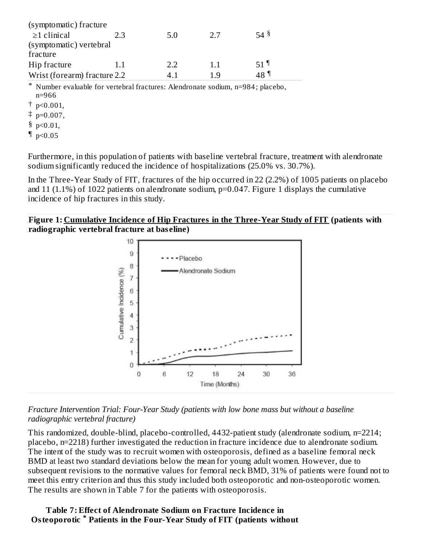| (symptomatic) fracture       |     |     |     |                 |
|------------------------------|-----|-----|-----|-----------------|
| $\geq$ 1 clinical            | 2.3 | 5.0 | 27  | $54\frac{8}{3}$ |
| (symptomatic) vertebral      |     |     |     |                 |
| fracture                     |     |     |     |                 |
| Hip fracture                 | 1.1 | フフ  | 11  | $51$ 1          |
| Wrist (forearm) fracture 2.2 |     | 4 T | า ฯ | 48 ¶ิ           |
|                              |     |     |     |                 |

\* Number evaluable for vertebral fractures: Alendronate sodium, n=984 ; placebo, n=966

 $\dagger$  p<0.001,

 $\ddagger$  p=0.007,

§ p<0.01,

 $\n **p** < 0.05\n$ 

Furthermore, in this population of patients with baseline vertebral fracture, treatment with alendronate sodium significantly reduced the incidence of hospitalizations (25.0% vs. 30.7%).

In the Three-Year Study of FIT, fractures of the hip occurred in 22 (2.2%) of 1005 patients on placebo and 11 (1.1%) of 1022 patients on alendronate sodium, p=0.047. Figure 1 displays the cumulative incidence of hip fractures in this study.

#### **Figure 1: Cumulative Incidence of Hip Fractures in the Three-Year Study of FIT (patients with radiographic vertebral fracture at bas eline)**



*Fracture Intervention Trial: Four-Year Study (patients with low bone mass but without a baseline radiographic vertebral fracture)*

This randomized, double-blind, placebo-controlled, 4432-patient study (alendronate sodium, n=2214; placebo, n=2218) further investigated the reduction in fracture incidence due to alendronate sodium. The intent of the study was to recruit women with osteoporosis, defined as a baseline femoral neck BMD at least two standard deviations below the mean for young adult women. However, due to subsequent revisions to the normative values for femoral neck BMD, 31% of patients were found not to meet this entry criterion and thus this study included both osteoporotic and non-osteoporotic women. The results are shown in Table 7 for the patients with osteoporosis.

### **Table 7: Effect of Alendronate Sodium on Fracture Incidence in Osteoporotic Patients in the Four-Year Study of FIT (patients without \***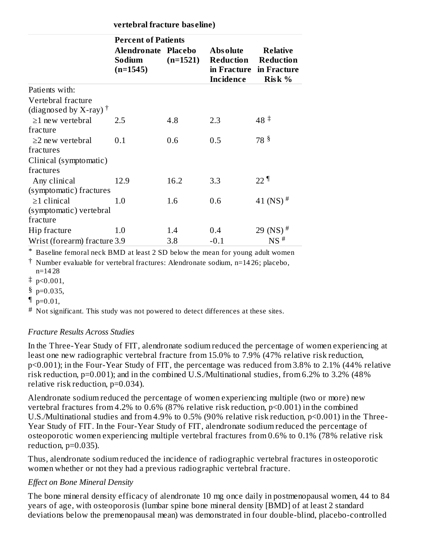**vertebral fracture bas eline)**

|                                   | <b>Percent of Patients</b>                  |            |                                                  |                                                                   |  |
|-----------------------------------|---------------------------------------------|------------|--------------------------------------------------|-------------------------------------------------------------------|--|
|                                   | Alendronate Placebo<br>Sodium<br>$(n=1545)$ | $(n=1521)$ | <b>Absolute</b><br>Reduction<br><b>Incidence</b> | <b>Relative</b><br>Reduction<br>in Fracture in Fracture<br>Risk % |  |
| Patients with:                    |                                             |            |                                                  |                                                                   |  |
| Vertebral fracture                |                                             |            |                                                  |                                                                   |  |
| (diagnosed by X-ray) $^{\dagger}$ |                                             |            |                                                  |                                                                   |  |
| $\geq$ 1 new vertebral            | 2.5                                         | 4.8        | 2.3                                              | $48^{\frac{+}{+}}$                                                |  |
| fracture                          |                                             |            |                                                  |                                                                   |  |
| $\geq$ 2 new vertebral            | 0.1                                         | 0.6        | 0.5                                              | 78 <sup>§</sup>                                                   |  |
| fractures                         |                                             |            |                                                  |                                                                   |  |
| Clinical (symptomatic)            |                                             |            |                                                  |                                                                   |  |
| fractures                         |                                             |            |                                                  |                                                                   |  |
| Any clinical                      | 12.9                                        | 16.2       | 3.3                                              | $22$ 1                                                            |  |
| (symptomatic) fractures           |                                             |            |                                                  |                                                                   |  |
| $\geq$ 1 clinical                 | 1.0                                         | 1.6        | 0.6                                              | 41 (NS) $#$                                                       |  |
| (symptomatic) vertebral           |                                             |            |                                                  |                                                                   |  |
| fracture                          |                                             |            |                                                  |                                                                   |  |
| Hip fracture                      | 1.0                                         | 1.4        | 0.4                                              | 29 (NS) <sup>#</sup>                                              |  |
| Wrist (forearm) fracture 3.9      |                                             | 3.8        | $-0.1$                                           | $NS$ <sup>#</sup>                                                 |  |

\* Baseline femoral neck BMD at least 2 SD below the mean for young adult women

† Number evaluable for vertebral fractures: Alendronate sodium, n=14 26; placebo, n=14 28

‡ p<0.001,

§ p=0.035,

 $\n <sup>•</sup> p=0.01,$ 

 $^\#$  Not significant. This study was not powered to detect differences at these sites.

### *Fracture Results Across Studies*

In the Three-Year Study of FIT, alendronate sodium reduced the percentage of women experiencing at least one new radiographic vertebral fracture from 15.0% to 7.9% (47% relative risk reduction, p<0.001); in the Four-Year Study of FIT, the percentage was reduced from 3.8% to 2.1% (44% relative risk reduction, p=0.001); and in the combined U.S./Multinational studies, from 6.2% to 3.2% (48% relative risk reduction, p=0.034).

Alendronate sodium reduced the percentage of women experiencing multiple (two or more) new vertebral fractures from 4.2% to 0.6% (87% relative risk reduction, p<0.001) in the combined U.S./Multinational studies and from 4.9% to 0.5% (90% relative risk reduction, p<0.001) in the Three-Year Study of FIT. In the Four-Year Study of FIT, alendronate sodium reduced the percentage of osteoporotic women experiencing multiple vertebral fractures from 0.6% to 0.1% (78% relative risk reduction, p=0.035).

Thus, alendronate sodium reduced the incidence of radiographic vertebral fractures in osteoporotic women whether or not they had a previous radiographic vertebral fracture.

### *Effect on Bone Mineral Density*

The bone mineral density efficacy of alendronate 10 mg once daily in postmenopausal women, 44 to 84 years of age, with osteoporosis (lumbar spine bone mineral density [BMD] of at least 2 standard deviations below the premenopausal mean) was demonstrated in four double-blind, placebo-controlled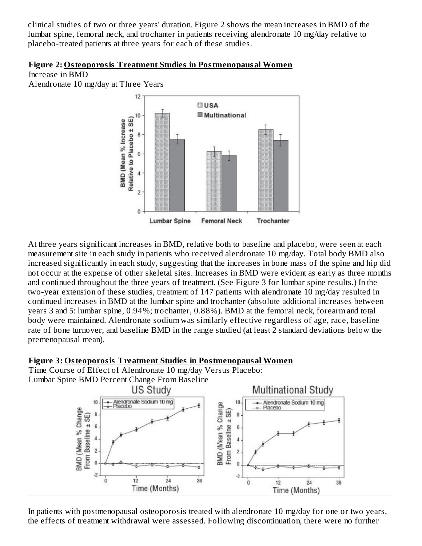clinical studies of two or three years' duration. Figure 2 shows the mean increases in BMD of the lumbar spine, femoral neck, and trochanter in patients receiving alendronate 10 mg/day relative to placebo-treated patients at three years for each of these studies.

#### **Figure 2: Osteoporosis Treatment Studies in Postmenopausal Women**

Increase in BMD

Alendronate 10 mg/day at Three Years



At three years significant increases in BMD, relative both to baseline and placebo, were seen at each measurement site in each study in patients who received alendronate 10 mg/day. Total body BMD also increased significantly in each study, suggesting that the increases in bone mass of the spine and hip did not occur at the expense of other skeletal sites. Increases in BMD were evident as early as three months and continued throughout the three years of treatment. (See Figure 3 for lumbar spine results.) In the two-year extension of these studies, treatment of 147 patients with alendronate 10 mg/day resulted in continued increases in BMD at the lumbar spine and trochanter (absolute additional increases between years 3 and 5: lumbar spine, 0.94%; trochanter, 0.88%). BMD at the femoral neck, forearm and total body were maintained. Alendronate sodium was similarly effective regardless of age, race, baseline rate of bone turnover, and baseline BMD in the range studied (at least 2 standard deviations below the premenopausal mean).

### **Figure 3: Osteoporosis Treatment Studies in Postmenopausal Women**

Time Course of Effect of Alendronate 10 mg/day Versus Placebo: Lumbar Spine BMD Percent Change From Baseline



In patients with postmenopausal osteoporosis treated with alendronate 10 mg/day for one or two years, the effects of treatment withdrawal were assessed. Following discontinuation, there were no further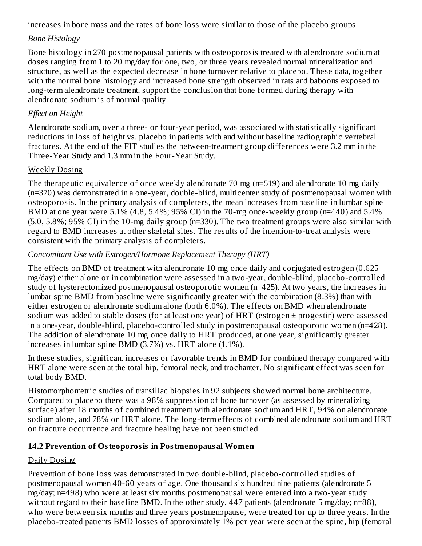increases in bone mass and the rates of bone loss were similar to those of the placebo groups.

### *Bone Histology*

Bone histology in 270 postmenopausal patients with osteoporosis treated with alendronate sodium at doses ranging from 1 to 20 mg/day for one, two, or three years revealed normal mineralization and structure, as well as the expected decrease in bone turnover relative to placebo. These data, together with the normal bone histology and increased bone strength observed in rats and baboons exposed to long-term alendronate treatment, support the conclusion that bone formed during therapy with alendronate sodium is of normal quality.

### *Effect on Height*

Alendronate sodium, over a three- or four-year period, was associated with statistically significant reductions in loss of height vs. placebo in patients with and without baseline radiographic vertebral fractures. At the end of the FIT studies the between-treatment group differences were 3.2 mm in the Three-Year Study and 1.3 mm in the Four-Year Study.

### Weekly Dosing

The therapeutic equivalence of once weekly alendronate 70 mg (n=519) and alendronate 10 mg daily (n=370) was demonstrated in a one-year, double-blind, multicenter study of postmenopausal women with osteoporosis. In the primary analysis of completers, the mean increases from baseline in lumbar spine BMD at one year were 5.1% (4.8, 5.4%; 95% CI) in the 70-mg once-weekly group (n=440) and 5.4% (5.0, 5.8%; 95% CI) in the 10-mg daily group (n=330). The two treatment groups were also similar with regard to BMD increases at other skeletal sites. The results of the intention-to-treat analysis were consistent with the primary analysis of completers.

### *Concomitant Use with Estrogen/Hormone Replacement Therapy (HRT)*

The effects on BMD of treatment with alendronate 10 mg once daily and conjugated estrogen (0.625 mg/day) either alone or in combination were assessed in a two-year, double-blind, placebo-controlled study of hysterectomized postmenopausal osteoporotic women (n=425). At two years, the increases in lumbar spine BMD from baseline were significantly greater with the combination (8.3%) than with either estrogen or alendronate sodium alone (both 6.0%). The effects on BMD when alendronate sodium was added to stable doses (for at least one year) of HRT (estrogen ± progestin) were assessed in a one-year, double-blind, placebo-controlled study in postmenopausal osteoporotic women (n=428). The addition of alendronate 10 mg once daily to HRT produced, at one year, significantly greater increases in lumbar spine BMD (3.7%) vs. HRT alone (1.1%).

In these studies, significant increases or favorable trends in BMD for combined therapy compared with HRT alone were seen at the total hip, femoral neck, and trochanter. No significant effect was seen for total body BMD.

Histomorphometric studies of transiliac biopsies in 92 subjects showed normal bone architecture. Compared to placebo there was a 98% suppression of bone turnover (as assessed by mineralizing surface) after 18 months of combined treatment with alendronate sodium and HRT, 94% on alendronate sodium alone, and 78% on HRT alone. The long-term effects of combined alendronate sodium and HRT on fracture occurrence and fracture healing have not been studied.

### **14.2 Prevention of Osteoporosis in Postmenopausal Women**

### Daily Dosing

Prevention of bone loss was demonstrated in two double-blind, placebo-controlled studies of postmenopausal women 40-60 years of age. One thousand six hundred nine patients (alendronate 5 mg/day; n=498) who were at least six months postmenopausal were entered into a two-year study without regard to their baseline BMD. In the other study, 447 patients (alendronate 5 mg/day; n=88), who were between six months and three years postmenopause, were treated for up to three years. In the placebo-treated patients BMD losses of approximately 1% per year were seen at the spine, hip (femoral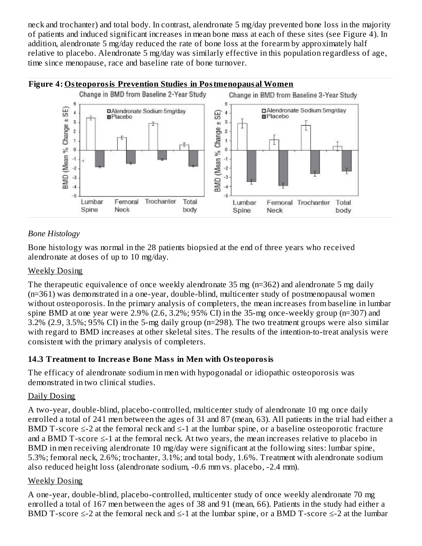neck and trochanter) and total body. In contrast, alendronate 5 mg/day prevented bone loss in the majority of patients and induced significant increases in mean bone mass at each of these sites (see Figure 4). In addition, alendronate 5 mg/day reduced the rate of bone loss at the forearm by approximately half relative to placebo. Alendronate 5 mg/day was similarly effective in this population regardless of age, time since menopause, race and baseline rate of bone turnover.



### *Bone Histology*

Bone histology was normal in the 28 patients biopsied at the end of three years who received alendronate at doses of up to 10 mg/day.

### Weekly Dosing

The therapeutic equivalence of once weekly alendronate 35 mg (n=362) and alendronate 5 mg daily (n=361) was demonstrated in a one-year, double-blind, multicenter study of postmenopausal women without osteoporosis. In the primary analysis of completers, the mean increases from baseline in lumbar spine BMD at one year were 2.9% (2.6, 3.2%; 95% CI) in the 35-mg once-weekly group (n=307) and 3.2% (2.9, 3.5%; 95% CI) in the 5-mg daily group (n=298). The two treatment groups were also similar with regard to BMD increases at other skeletal sites. The results of the intention-to-treat analysis were consistent with the primary analysis of completers.

### **14.3 Treatment to Increas e Bone Mass in Men with Osteoporosis**

The efficacy of alendronate sodium in men with hypogonadal or idiopathic osteoporosis was demonstrated in two clinical studies.

### Daily Dosing

A two-year, double-blind, placebo-controlled, multicenter study of alendronate 10 mg once daily enrolled a total of 241 men between the ages of 31 and 87 (mean, 63). All patients in the trial had either a BMD T-score  $\leq$ -2 at the femoral neck and  $\leq$ -1 at the lumbar spine, or a baseline osteoporotic fracture and a BMD T-score ≤-1 at the femoral neck. At two years, the mean increases relative to placebo in BMD in men receiving alendronate 10 mg/day were significant at the following sites: lumbar spine, 5.3%; femoral neck, 2.6%; trochanter, 3.1%; and total body, 1.6%. Treatment with alendronate sodium also reduced height loss (alendronate sodium, -0.6 mm vs. placebo, -2.4 mm).

### Weekly Dosing

A one-year, double-blind, placebo-controlled, multicenter study of once weekly alendronate 70 mg enrolled a total of 167 men between the ages of 38 and 91 (mean, 66). Patients in the study had either a BMD T-score  $\leq$ -2 at the femoral neck and  $\leq$ -1 at the lumbar spine, or a BMD T-score  $\leq$ -2 at the lumbar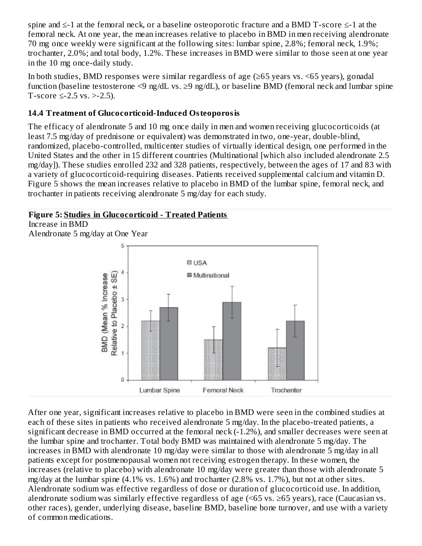spine and ≤-1 at the femoral neck, or a baseline osteoporotic fracture and a BMD T-score ≤-1 at the femoral neck. At one year, the mean increases relative to placebo in BMD in men receiving alendronate 70 mg once weekly were significant at the following sites: lumbar spine, 2.8%; femoral neck, 1.9%; trochanter, 2.0%; and total body, 1.2%. These increases in BMD were similar to those seen at one year in the 10 mg once-daily study.

In both studies, BMD responses were similar regardless of age (≥65 years vs. <65 years), gonadal function (baseline testosterone <9 ng/dL vs.  $\geq$ 9 ng/dL), or baseline BMD (femoral neck and lumbar spine T-score ≤-2.5 vs. >-2.5).

### **14.4 Treatment of Glucocorticoid-Induced Osteoporosis**

The efficacy of alendronate 5 and 10 mg once daily in men and women receiving glucocorticoids (at least 7.5 mg/day of prednisone or equivalent) was demonstrated in two, one-year, double-blind, randomized, placebo-controlled, multicenter studies of virtually identical design, one performed in the United States and the other in 15 different countries (Multinational [which also included alendronate 2.5 mg/day]). These studies enrolled 232 and 328 patients, respectively, between the ages of 17 and 83 with a variety of glucocorticoid-requiring diseases. Patients received supplemental calcium and vitamin D. Figure 5 shows the mean increases relative to placebo in BMD of the lumbar spine, femoral neck, and trochanter in patients receiving alendronate 5 mg/day for each study.

### **Figure 5: Studies in Glucocorticoid - Treated Patients**

Increase in BMD

Alendronate 5 mg/day at One Year



After one year, significant increases relative to placebo in BMD were seen in the combined studies at each of these sites in patients who received alendronate 5 mg/day. In the placebo-treated patients, a significant decrease in BMD occurred at the femoral neck (-1.2%), and smaller decreases were seen at the lumbar spine and trochanter. Total body BMD was maintained with alendronate 5 mg/day. The increases in BMD with alendronate 10 mg/day were similar to those with alendronate 5 mg/day in all patients except for postmenopausal women not receiving estrogen therapy. In these women, the increases (relative to placebo) with alendronate 10 mg/day were greater than those with alendronate 5 mg/day at the lumbar spine (4.1% vs. 1.6%) and trochanter (2.8% vs. 1.7%), but not at other sites. Alendronate sodium was effective regardless of dose or duration of glucocorticoid use. In addition, alendronate sodium was similarly effective regardless of age (<65 vs. ≥65 years), race (Caucasian vs. other races), gender, underlying disease, baseline BMD, baseline bone turnover, and use with a variety of common medications.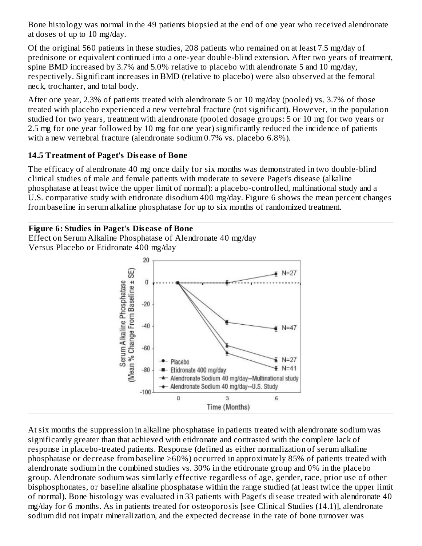Bone histology was normal in the 49 patients biopsied at the end of one year who received alendronate at doses of up to 10 mg/day.

Of the original 560 patients in these studies, 208 patients who remained on at least 7.5 mg/day of prednisone or equivalent continued into a one-year double-blind extension. After two years of treatment, spine BMD increased by 3.7% and 5.0% relative to placebo with alendronate 5 and 10 mg/day, respectively. Significant increases in BMD (relative to placebo) were also observed at the femoral neck, trochanter, and total body.

After one year, 2.3% of patients treated with alendronate 5 or 10 mg/day (pooled) vs. 3.7% of those treated with placebo experienced a new vertebral fracture (not significant). However, in the population studied for two years, treatment with alendronate (pooled dosage groups: 5 or 10 mg for two years or 2.5 mg for one year followed by 10 mg for one year) significantly reduced the incidence of patients with a new vertebral fracture (alendronate sodium 0.7% vs. placebo 6.8%).

### **14.5 Treatment of Paget's Dis eas e of Bone**

The efficacy of alendronate 40 mg once daily for six months was demonstrated in two double-blind clinical studies of male and female patients with moderate to severe Paget's disease (alkaline phosphatase at least twice the upper limit of normal): a placebo-controlled, multinational study and a U.S. comparative study with etidronate disodium 400 mg/day. Figure 6 shows the mean percent changes from baseline in serum alkaline phosphatase for up to six months of randomized treatment.

### **Figure 6: Studies in Paget's Dis eas e of Bone**

Effect on Serum Alkaline Phosphatase of Alendronate 40 mg/day Versus Placebo or Etidronate 400 mg/day



At six months the suppression in alkaline phosphatase in patients treated with alendronate sodium was significantly greater than that achieved with etidronate and contrasted with the complete lack of response in placebo-treated patients. Response (defined as either normalization of serum alkaline phosphatase or decrease from baseline ≥60%) occurred in approximately 85% of patients treated with alendronate sodium in the combined studies vs. 30% in the etidronate group and 0% in the placebo group. Alendronate sodium was similarly effective regardless of age, gender, race, prior use of other bisphosphonates, or baseline alkaline phosphatase within the range studied (at least twice the upper limit of normal). Bone histology was evaluated in 33 patients with Paget's disease treated with alendronate 40 mg/day for 6 months. As in patients treated for osteoporosis [see Clinical Studies (14.1)], alendronate sodium did not impair mineralization, and the expected decrease in the rate of bone turnover was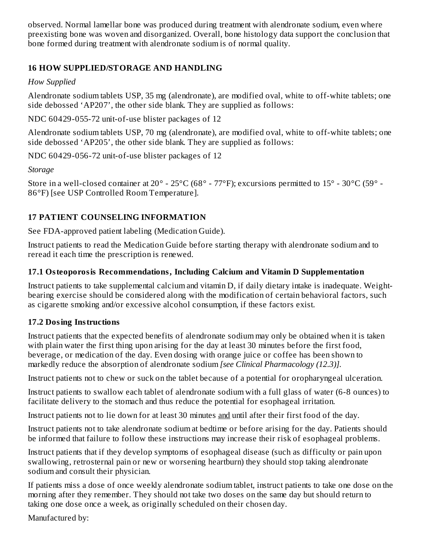observed. Normal lamellar bone was produced during treatment with alendronate sodium, even where preexisting bone was woven and disorganized. Overall, bone histology data support the conclusion that bone formed during treatment with alendronate sodium is of normal quality.

### **16 HOW SUPPLIED/STORAGE AND HANDLING**

### *How Supplied*

Alendronate sodium tablets USP, 35 mg (alendronate), are modified oval, white to off-white tablets; one side debossed 'AP207', the other side blank. They are supplied as follows:

NDC 60429-055-72 unit-of-use blister packages of 12

Alendronate sodium tablets USP, 70 mg (alendronate), are modified oval, white to off-white tablets; one side debossed 'AP205', the other side blank. They are supplied as follows:

NDC 60429-056-72 unit-of-use blister packages of 12

*Storage*

Store in a well-closed container at 20° - 25°C (68° - 77°F); excursions permitted to 15° - 30°C (59° - 86°F) [see USP Controlled Room Temperature].

# **17 PATIENT COUNSELING INFORMATION**

See FDA-approved patient labeling (Medication Guide).

Instruct patients to read the Medication Guide before starting therapy with alendronate sodium and to reread it each time the prescription is renewed.

### **17.1 Osteoporosis Recommendations, Including Calcium and Vitamin D Supplementation**

Instruct patients to take supplemental calcium and vitamin D, if daily dietary intake is inadequate. Weightbearing exercise should be considered along with the modification of certain behavioral factors, such as cigarette smoking and/or excessive alcohol consumption, if these factors exist.

### **17.2 Dosing Instructions**

Instruct patients that the expected benefits of alendronate sodium may only be obtained when it is taken with plain water the first thing upon arising for the day at least 30 minutes before the first food, beverage, or medication of the day. Even dosing with orange juice or coffee has been shown to markedly reduce the absorption of alendronate sodium *[see Clinical Pharmacology (12.3)].*

Instruct patients not to chew or suck on the tablet because of a potential for oropharyngeal ulceration.

Instruct patients to swallow each tablet of alendronate sodium with a full glass of water (6-8 ounces) to facilitate delivery to the stomach and thus reduce the potential for esophageal irritation.

Instruct patients not to lie down for at least 30 minutes and until after their first food of the day.

Instruct patients not to take alendronate sodium at bedtime or before arising for the day. Patients should be informed that failure to follow these instructions may increase their risk of esophageal problems.

Instruct patients that if they develop symptoms of esophageal disease (such as difficulty or pain upon swallowing, retrosternal pain or new or worsening heartburn) they should stop taking alendronate sodium and consult their physician.

If patients miss a dose of once weekly alendronate sodium tablet, instruct patients to take one dose on the morning after they remember. They should not take two doses on the same day but should return to taking one dose once a week, as originally scheduled on their chosen day.

Manufactured by: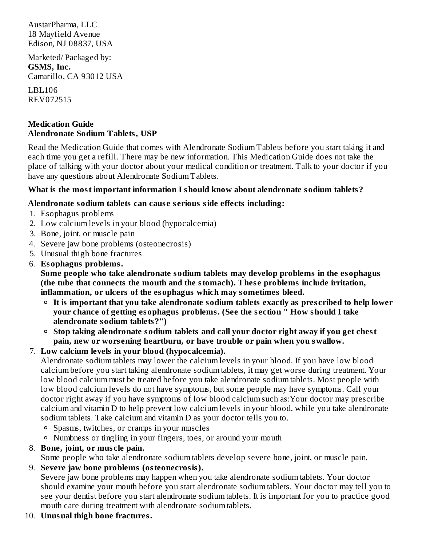AustarPharma, LLC 18 Mayfield Avenue Edison, NJ 08837, USA

Marketed/ Packaged by: **GSMS, Inc.** Camarillo, CA 93012 USA

LBL106 REV072515

#### **Medication Guide Alendronate Sodium Tablets, USP**

Read the Medication Guide that comes with Alendronate Sodium Tablets before you start taking it and each time you get a refill. There may be new information. This Medication Guide does not take the place of talking with your doctor about your medical condition or treatment. Talk to your doctor if you have any questions about Alendronate Sodium Tablets.

### **What is the most important information I should know about alendronate sodium tablets?**

#### **Alendronate sodium tablets can caus e s erious side effects including:**

- 1. Esophagus problems
- 2. Low calcium levels in your blood (hypocalcemia)
- 3. Bone, joint, or muscle pain
- 4. Severe jaw bone problems (osteonecrosis)
- 5. Unusual thigh bone fractures
- 6. **Esophagus problems.**

**Some people who take alendronate sodium tablets may develop problems in the esophagus (the tube that connects the mouth and the stomach). Thes e problems include irritation, inflammation, or ulcers of the esophagus which may sometimes bleed.**

- **It is important that you take alendronate sodium tablets exactly as pres cribed to help lower your chance of getting esophagus problems. (See the s ection " How should I take alendronate sodium tablets?")**
- **Stop taking alendronate sodium tablets and call your doctor right away if you get chest pain, new or wors ening heartburn, or have trouble or pain when you swallow.**

### 7. **Low calcium levels in your blood (hypocalcemia).**

Alendronate sodium tablets may lower the calcium levels in your blood. If you have low blood calcium before you start taking alendronate sodium tablets, it may get worse during treatment. Your low blood calcium must be treated before you take alendronate sodium tablets. Most people with low blood calcium levels do not have symptoms, but some people may have symptoms. Call your doctor right away if you have symptoms of low blood calcium such as:Your doctor may prescribe calcium and vitamin D to help prevent low calcium levels in your blood, while you take alendronate sodium tablets. Take calcium and vitamin D as your doctor tells you to.

- Spasms, twitches, or cramps in your muscles
- Numbness or tingling in your fingers, toes, or around your mouth

### 8. **Bone, joint, or mus cle pain.**

Some people who take alendronate sodium tablets develop severe bone, joint, or muscle pain.

9. **Severe jaw bone problems (osteonecrosis).**

Severe jaw bone problems may happen when you take alendronate sodium tablets. Your doctor should examine your mouth before you start alendronate sodium tablets. Your doctor may tell you to see your dentist before you start alendronate sodium tablets. It is important for you to practice good mouth care during treatment with alendronate sodium tablets.

10. **Unusual thigh bone fractures.**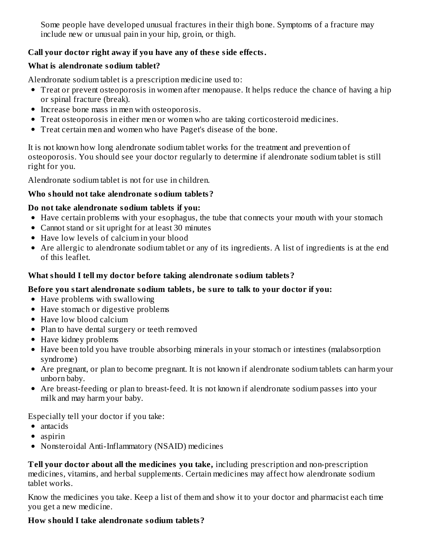Some people have developed unusual fractures in their thigh bone. Symptoms of a fracture may include new or unusual pain in your hip, groin, or thigh.

### **Call your doctor right away if you have any of thes e side effects.**

### **What is alendronate sodium tablet?**

Alendronate sodium tablet is a prescription medicine used to:

- Treat or prevent osteoporosis in women after menopause. It helps reduce the chance of having a hip or spinal fracture (break).
- Increase bone mass in men with osteoporosis.
- Treat osteoporosis in either men or women who are taking corticosteroid medicines.
- Treat certain men and women who have Paget's disease of the bone.

It is not known how long alendronate sodium tablet works for the treatment and prevention of osteoporosis. You should see your doctor regularly to determine if alendronate sodium tablet is still right for you.

Alendronate sodium tablet is not for use in children.

# **Who should not take alendronate sodium tablets?**

# **Do not take alendronate sodium tablets if you:**

- Have certain problems with your esophagus, the tube that connects your mouth with your stomach
- Cannot stand or sit upright for at least 30 minutes
- Have low levels of calcium in your blood
- Are allergic to alendronate sodium tablet or any of its ingredients. A list of ingredients is at the end of this leaflet.

# **What should I tell my doctor before taking alendronate sodium tablets?**

### **Before you start alendronate sodium tablets, be sure to talk to your doctor if you:**

- Have problems with swallowing
- Have stomach or digestive problems
- Have low blood calcium
- Plan to have dental surgery or teeth removed
- Have kidney problems
- Have been told you have trouble absorbing minerals in your stomach or intestines (malabsorption syndrome)
- Are pregnant, or plan to become pregnant. It is not known if alendronate sodium tablets can harm your unborn baby.
- Are breast-feeding or plan to breast-feed. It is not known if alendronate sodium passes into your milk and may harm your baby.

Especially tell your doctor if you take:

- antacids
- aspirin
- Nonsteroidal Anti-Inflammatory (NSAID) medicines

**Tell your doctor about all the medicines you take,** including prescription and non-prescription medicines, vitamins, and herbal supplements. Certain medicines may affect how alendronate sodium tablet works.

Know the medicines you take. Keep a list of them and show it to your doctor and pharmacist each time you get a new medicine.

# **How should I take alendronate sodium tablets?**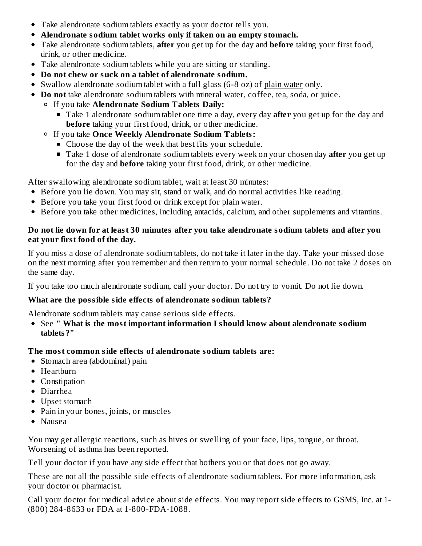- Take alendronate sodium tablets exactly as your doctor tells you.
- **Alendronate sodium tablet works only if taken on an empty stomach.**
- Take alendronate sodium tablets, **after** you get up for the day and **before** taking your first food, drink, or other medicine.
- Take alendronate sodium tablets while you are sitting or standing.
- **Do not chew or suck on a tablet of alendronate sodium.**
- Swallow alendronate sodium tablet with a full glass (6-8 oz) of plain water only.
- **Do not** take alendronate sodium tablets with mineral water, coffee, tea, soda, or juice.
	- If you take **Alendronate Sodium Tablets Daily:**
		- Take 1 alendronate sodium tablet one time a day, every day **after** you get up for the day and **before** taking your first food, drink, or other medicine.
	- If you take **Once Weekly Alendronate Sodium Tablets:**
		- Choose the day of the week that best fits your schedule.
		- Take 1 dose of alendronate sodium tablets every week on your chosen day **after** you get up for the day and **before** taking your first food, drink, or other medicine.

After swallowing alendronate sodium tablet, wait at least 30 minutes:

- Before you lie down. You may sit, stand or walk, and do normal activities like reading.
- Before you take your first food or drink except for plain water.
- Before you take other medicines, including antacids, calcium, and other supplements and vitamins.

### **Do not lie down for at least 30 minutes after you take alendronate sodium tablets and after you eat your first food of the day.**

If you miss a dose of alendronate sodium tablets, do not take it later in the day. Take your missed dose on the next morning after you remember and then return to your normal schedule. Do not take 2 doses on the same day.

If you take too much alendronate sodium, call your doctor. Do not try to vomit. Do not lie down.

# **What are the possible side effects of alendronate sodium tablets?**

Alendronate sodium tablets may cause serious side effects.

See **" What is the most important information I should know about alendronate sodium tablets?"**

# **The most common side effects of alendronate sodium tablets are:**

- Stomach area (abdominal) pain
- Heartburn
- Constipation
- Diarrhea
- Upset stomach
- Pain in your bones, joints, or muscles
- Nausea

You may get allergic reactions, such as hives or swelling of your face, lips, tongue, or throat. Worsening of asthma has been reported.

Tell your doctor if you have any side effect that bothers you or that does not go away.

These are not all the possible side effects of alendronate sodium tablets. For more information, ask your doctor or pharmacist.

Call your doctor for medical advice about side effects. You may report side effects to GSMS, Inc. at 1- (800) 284-8633 or FDA at 1-800-FDA-1088.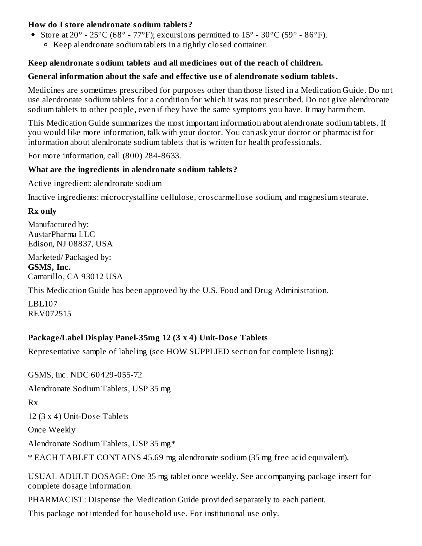### **How do I store alendronate sodium tablets?**

- Store at  $20^{\circ}$   $25^{\circ}$ C (68° 77°F); excursions permitted to  $15^{\circ}$   $30^{\circ}$ C (59°  $86^{\circ}$ F).
	- Keep alendronate sodium tablets in a tightly closed container.

### **Keep alendronate sodium tablets and all medicines out of the reach of children.**

### **General information about the safe and effective us e of alendronate sodium tablets.**

Medicines are sometimes prescribed for purposes other than those listed in a Medication Guide. Do not use alendronate sodium tablets for a condition for which it was not prescribed. Do not give alendronate sodium tablets to other people, even if they have the same symptoms you have. It may harm them.

This Medication Guide summarizes the most important information about alendronate sodium tablets. If you would like more information, talk with your doctor. You can ask your doctor or pharmacist for information about alendronate sodium tablets that is written for health professionals.

For more information, call (800) 284-8633.

### **What are the ingredients in alendronate sodium tablets?**

Active ingredient: alendronate sodium

Inactive ingredients: microcrystalline cellulose, croscarmellose sodium, and magnesium stearate.

### **Rx only**

Manufactured by: AustarPharma LLC Edison, NJ 08837, USA

Marketed/ Packaged by: **GSMS, Inc.** Camarillo, CA 93012 USA

This Medication Guide has been approved by the U.S. Food and Drug Administration.

LBL107 REV072515

# **Package/Label Display Panel-35mg 12 (3 x 4) Unit-Dos e Tablets**

Representative sample of labeling (see HOW SUPPLIED section for complete listing):

GSMS, Inc. NDC 60429-055-72 Alendronate Sodium Tablets, USP 35 mg Rx 12 (3 x 4) Unit-Dose Tablets Once Weekly Alendronate Sodium Tablets, USP 35 mg\* \* EACH TABLET CONTAINS 45.69 mg alendronate sodium (35 mg free acid equivalent).

USUAL ADULT DOSAGE: One 35 mg tablet once weekly. See accompanying package insert for complete dosage information.

PHARMACIST: Dispense the Medication Guide provided separately to each patient.

This package not intended for household use. For institutional use only.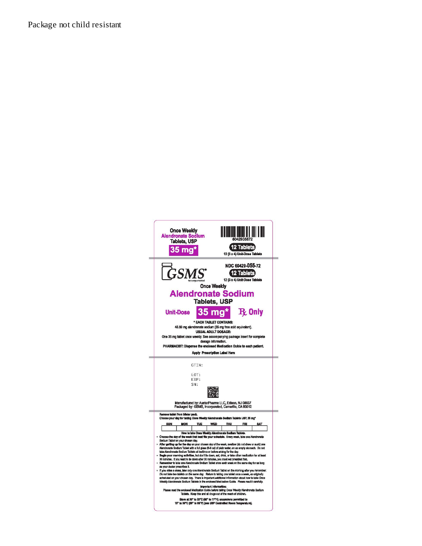Package not child resistant

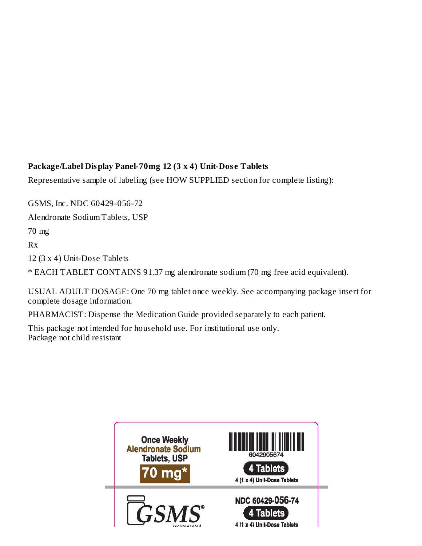# **Package/Label Display Panel-70mg 12 (3 x 4) Unit-Dos e Tablets**

Representative sample of labeling (see HOW SUPPLIED section for complete listing):

GSMS, Inc. NDC 60429-056-72

Alendronate Sodium Tablets, USP

70 mg

Rx

12 (3 x 4) Unit-Dose Tablets

\* EACH TABLET CONTAINS 91.37 mg alendronate sodium (70 mg free acid equivalent).

USUAL ADULT DOSAGE: One 70 mg tablet once weekly. See accompanying package insert for complete dosage information.

PHARMACIST: Dispense the Medication Guide provided separately to each patient.

This package not intended for household use. For institutional use only. Package not child resistant

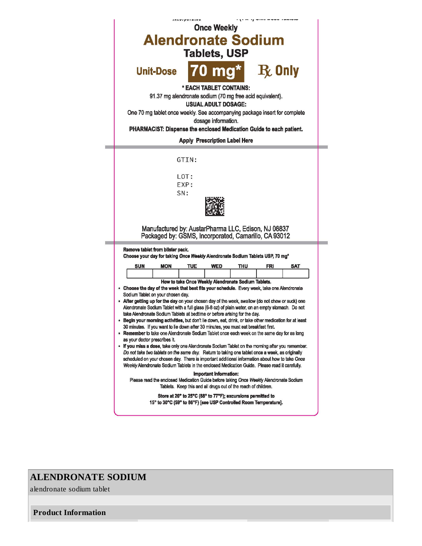

### **ALENDRONATE SODIUM**

alendronate sodium tablet

**Product Information**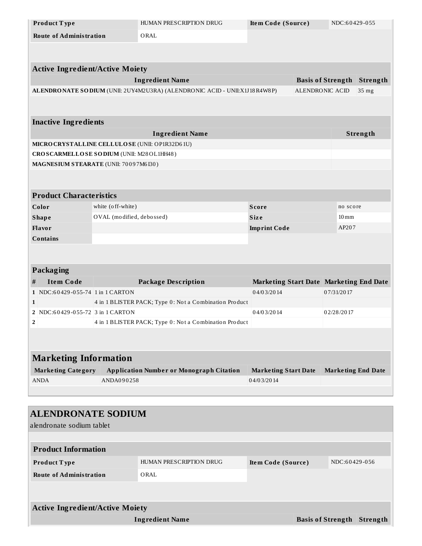|              | Product Type                                                                      |                                        | HUMAN PRESCRIPTION DRUG                                                    | Item Code (Source)                      |                 | NDC:60429-055             |          |  |
|--------------|-----------------------------------------------------------------------------------|----------------------------------------|----------------------------------------------------------------------------|-----------------------------------------|-----------------|---------------------------|----------|--|
|              |                                                                                   | <b>Route of Administration</b><br>ORAL |                                                                            |                                         |                 |                           |          |  |
|              |                                                                                   |                                        |                                                                            |                                         |                 |                           |          |  |
|              |                                                                                   |                                        |                                                                            |                                         |                 |                           |          |  |
|              | <b>Active Ingredient/Active Moiety</b>                                            |                                        |                                                                            |                                         |                 |                           |          |  |
|              |                                                                                   |                                        | <b>Ingredient Name</b>                                                     |                                         |                 | <b>Basis of Strength</b>  | Strength |  |
|              |                                                                                   |                                        | ALENDRONATE SO DIUM (UNII: 2UY4M2U3RA) (ALENDRONIC ACID - UNII:X1J18R4W8P) |                                         | ALENDRONIC ACID |                           | 35 mg    |  |
|              |                                                                                   |                                        |                                                                            |                                         |                 |                           |          |  |
|              |                                                                                   |                                        |                                                                            |                                         |                 |                           |          |  |
|              | <b>Inactive Ingredients</b>                                                       |                                        |                                                                            |                                         |                 |                           |          |  |
|              |                                                                                   |                                        | <b>Ingredient Name</b>                                                     |                                         |                 |                           | Strength |  |
|              | CROSCARMELLOSE SODIUM (UNII: M28OL1HH48)                                          |                                        | MICRO CRYSTALLINE CELLULO SE (UNII: OP1R32D61U)                            |                                         |                 |                           |          |  |
|              | MAGNESIUM STEARATE (UNII: 70097M6I30)                                             |                                        |                                                                            |                                         |                 |                           |          |  |
|              |                                                                                   |                                        |                                                                            |                                         |                 |                           |          |  |
|              |                                                                                   |                                        |                                                                            |                                         |                 |                           |          |  |
|              | <b>Product Characteristics</b>                                                    |                                        |                                                                            |                                         |                 |                           |          |  |
|              | Color<br>white (off-white)<br><b>Score</b>                                        |                                        |                                                                            |                                         |                 | no score                  |          |  |
|              | OVAL (modified, debossed)<br>Size<br><b>Shape</b>                                 |                                        |                                                                            | $10 \,\mathrm{mm}$                      |                 |                           |          |  |
|              | Flavor<br><b>Imprint Code</b>                                                     |                                        |                                                                            |                                         | AP207           |                           |          |  |
|              | <b>Contains</b>                                                                   |                                        |                                                                            |                                         |                 |                           |          |  |
|              |                                                                                   |                                        |                                                                            |                                         |                 |                           |          |  |
|              |                                                                                   |                                        |                                                                            |                                         |                 |                           |          |  |
|              | <b>Packaging</b>                                                                  |                                        |                                                                            |                                         |                 |                           |          |  |
| #            | <b>Item Code</b>                                                                  |                                        | <b>Package Description</b>                                                 | Marketing Start Date Marketing End Date |                 |                           |          |  |
|              | 1 NDC:60429-055-74 1 in 1 CARTON                                                  |                                        |                                                                            | 04/03/2014                              |                 | 07/31/2017                |          |  |
| $\mathbf{1}$ |                                                                                   |                                        | 4 in 1 BLISTER PACK; Type 0: Not a Combination Product                     |                                         |                 |                           |          |  |
|              | 2 NDC:60429-055-72 3 in 1 CARTON<br>04/03/2014                                    |                                        |                                                                            | 02/28/2017                              |                 |                           |          |  |
|              | $\overline{\mathbf{c}}$<br>4 in 1 BLISTER PACK; Type 0: Not a Combination Product |                                        |                                                                            |                                         |                 |                           |          |  |
|              |                                                                                   |                                        |                                                                            |                                         |                 |                           |          |  |
|              | <b>Marketing Information</b>                                                      |                                        |                                                                            |                                         |                 |                           |          |  |
|              |                                                                                   |                                        |                                                                            |                                         |                 |                           |          |  |
|              | <b>Marketing Category</b>                                                         |                                        | <b>Application Number or Monograph Citation</b>                            | <b>Marketing Start Date</b>             |                 | <b>Marketing End Date</b> |          |  |
|              | <b>ANDA</b>                                                                       | ANDA090258                             |                                                                            | 04/03/2014                              |                 |                           |          |  |
|              |                                                                                   |                                        |                                                                            |                                         |                 |                           |          |  |
|              |                                                                                   |                                        |                                                                            |                                         |                 |                           |          |  |
|              | <b>ALENDRONATE SODIUM</b>                                                         |                                        |                                                                            |                                         |                 |                           |          |  |

| alendronate sodium tablet |  |
|---------------------------|--|
|                           |  |

| <b>Product Information</b>             |                         |                          |  |               |  |
|----------------------------------------|-------------------------|--------------------------|--|---------------|--|
| <b>Product Type</b>                    | HUMAN PRESCRIPTION DRUG | Item Code (Source)       |  | NDC:60429-056 |  |
| <b>Route of Administration</b>         | ORAL                    |                          |  |               |  |
|                                        |                         |                          |  |               |  |
| <b>Active Ingredient/Active Moiety</b> |                         |                          |  |               |  |
|                                        |                         |                          |  |               |  |
| <b>Ingredient Name</b>                 |                         | <b>Basis of Strength</b> |  | Strength      |  |